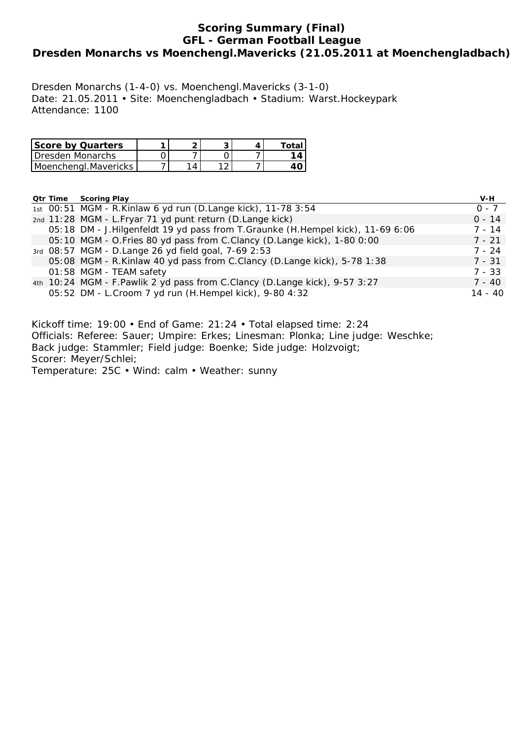# **Scoring Summary (Final) GFL - German Football League Dresden Monarchs vs Moenchengl.Mavericks (21.05.2011 at Moenchengladbach)**

Dresden Monarchs (1-4-0) vs. Moenchengl.Mavericks (3-1-0) Date: 21.05.2011 • Site: Moenchengladbach • Stadium: Warst.Hockeypark Attendance: 1100

| <b>Score by Quarters</b> |  |  | Total |
|--------------------------|--|--|-------|
| Dresden Monarchs         |  |  | 1 A   |
| Moenchengl.Mavericks     |  |  |       |

# **Qtr Time Scoring Play V-H**

|  |                                                                                   | .         |
|--|-----------------------------------------------------------------------------------|-----------|
|  | 1st 00:51 MGM - R.Kinlaw 6 yd run (D.Lange kick), 11-78 3:54                      | $0 - 7$   |
|  | 2nd 11:28 MGM - L.Fryar 71 yd punt return (D.Lange kick)                          | $0 - 14$  |
|  | 05:18 DM - J. Hilgenfeldt 19 yd pass from T. Graunke (H. Hempel kick), 11-69 6:06 | $7 - 14$  |
|  | 05:10 MGM - O.Fries 80 yd pass from C.Clancy (D.Lange kick), 1-80 0:00            | $7 - 21$  |
|  | 3rd 08:57 MGM - D.Lange 26 yd field goal, 7-69 2:53                               | $7 - 24$  |
|  | 05:08 MGM - R.Kinlaw 40 yd pass from C.Clancy (D.Lange kick), 5-78 1:38           | $7 - 31$  |
|  | 01:58 MGM - TEAM safety                                                           | $7 - 33$  |
|  | 4th 10:24 MGM - F.Pawlik 2 yd pass from C.Clancy (D.Lange kick), 9-57 3:27        | $7 - 40$  |
|  | 05:52 DM - L. Croom 7 yd run (H. Hempel kick), 9-80 4:32                          | $14 - 40$ |
|  |                                                                                   |           |

Kickoff time: 19:00 • End of Game: 21:24 • Total elapsed time: 2:24 Officials: Referee: Sauer; Umpire: Erkes; Linesman: Plonka; Line judge: Weschke; Back judge: Stammler; Field judge: Boenke; Side judge: Holzvoigt; Scorer: Meyer/Schlei; Temperature: 25C • Wind: calm • Weather: sunny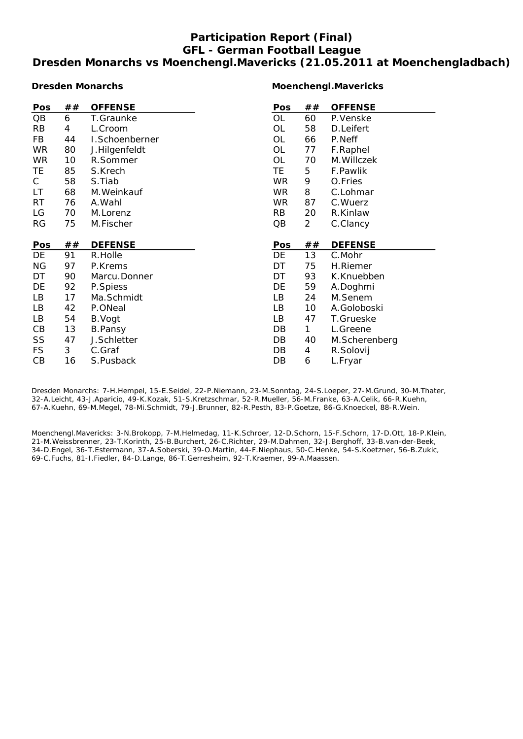# **Participation Report (Final) GFL - German Football League Dresden Monarchs vs Moenchengl.Mavericks (21.05.2011 at Moenchengladbach)**

#### **Dresden Monarchs**

#### **Moenchengl.Mavericks**

| Pos       | ## | <b>OFFENSE</b> | Pos       | ##             | <b>OFFENSE</b> |
|-----------|----|----------------|-----------|----------------|----------------|
| QB        | 6  | T.Graunke      | OL        | 60             | P.Venske       |
| <b>RB</b> | 4  | L.Croom        | OL        | 58             | D.Leifert      |
| FB        | 44 | I.Schoenberner | OL        | 66             | P.Neff         |
| <b>WR</b> | 80 | J.Hilgenfeldt  | <b>OL</b> | 77             | F.Raphel       |
| <b>WR</b> | 10 | R.Sommer       | <b>OL</b> | 70             | M. Willczek    |
| TE        | 85 | S.Krech        | TE.       | 5              | F.Pawlik       |
| C         | 58 | S.Tiab         | <b>WR</b> | 9              | O.Fries        |
| LT        | 68 | M. Weinkauf    | WR.       | 8              | C.Lohmar       |
| <b>RT</b> | 76 | A.Wahl         | WR.       | 87             | C. Wuerz       |
| LG        | 70 | M.Lorenz       | <b>RB</b> | 20             | R.Kinlaw       |
| <b>RG</b> | 75 | M.Fischer      | QB        | $\overline{2}$ | C.Clancy       |
|           |    |                |           |                |                |
|           |    |                |           |                |                |
| Pos       | ## | <b>DEFENSE</b> | Pos       | ##             | <b>DEFENSE</b> |
| DE        | 91 | R.Holle        | DE        | 13             | C.Mohr         |
| <b>NG</b> | 97 | P.Krems        | DT        | 75             | H.Riemer       |
| DT        | 90 | Marcu.Donner   | DT        | 93             | K.Knuebben     |
| DE        | 92 | P.Spiess       | DE        | 59             | A.Doghmi       |
| LB        | 17 | Ma.Schmidt     | LB        | 24             | M.Senem        |
| LB        | 42 | P.ONeal        | LB        | 10             | A.Goloboski    |
| LB        | 54 | B.Vogt         | LB        | 47             | T.Grueske      |
| CB        | 13 | <b>B.Pansy</b> | DB        | 1              | L.Greene       |
| SS        | 47 | J.Schletter    | DB        | 40             | M.Scherenberg  |
| <b>FS</b> | 3  | C.Graf         | DB        | 4              | R.Solovij      |

Dresden Monarchs: 7-H.Hempel, 15-E.Seidel, 22-P.Niemann, 23-M.Sonntag, 24-S.Loeper, 27-M.Grund, 30-M.Thater, 32-A.Leicht, 43-J.Aparicio, 49-K.Kozak, 51-S.Kretzschmar, 52-R.Mueller, 56-M.Franke, 63-A.Celik, 66-R.Kuehn, 67-A.Kuehn, 69-M.Megel, 78-Mi.Schmidt, 79-J.Brunner, 82-R.Pesth, 83-P.Goetze, 86-G.Knoeckel, 88-R.Wein.

Moenchengl.Mavericks: 3-N.Brokopp, 7-M.Helmedag, 11-K.Schroer, 12-D.Schorn, 15-F.Schorn, 17-D.Ott, 18-P.Klein, 21-M.Weissbrenner, 23-T.Korinth, 25-B.Burchert, 26-C.Richter, 29-M.Dahmen, 32-J.Berghoff, 33-B.van-der-Beek, 34-D.Engel, 36-T.Estermann, 37-A.Soberski, 39-O.Martin, 44-F.Niephaus, 50-C.Henke, 54-S.Koetzner, 56-B.Zukic, 69-C.Fuchs, 81-I.Fiedler, 84-D.Lange, 86-T.Gerresheim, 92-T.Kraemer, 99-A.Maassen.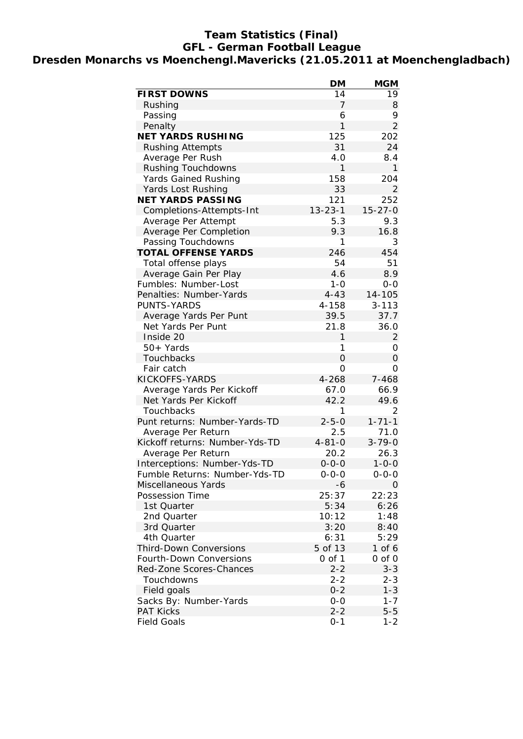## **Team Statistics (Final) GFL - German Football League Dresden Monarchs vs Moenchengl.Mavericks (21.05.2011 at Moenchengladbach)**

|                                | <b>DM</b>      | <b>MGM</b>     |
|--------------------------------|----------------|----------------|
| <b>FIRST DOWNS</b>             | 14             | 19             |
| Rushing                        | 7              | 8              |
| Passing                        | 6              | 9              |
| Penalty                        | 1              | $\overline{2}$ |
| <b>NET YARDS RUSHING</b>       | 125            | 202            |
| <b>Rushing Attempts</b>        | 31             | 24             |
| Average Per Rush               | 4.0            | 8.4            |
| <b>Rushing Touchdowns</b>      | 1              | 1              |
| <b>Yards Gained Rushing</b>    | 158            | 204            |
| Yards Lost Rushing             | 33             | 2              |
| <b>NET YARDS PASSING</b>       | 121            | 252            |
| Completions-Attempts-Int       | $13 - 23 - 1$  | $15 - 27 - 0$  |
| Average Per Attempt            | 5.3            | 9.3            |
| Average Per Completion         | 9.3            | 16.8           |
| Passing Touchdowns             | 1              | 3              |
| <b>TOTAL OFFENSE YARDS</b>     | 246            | 454            |
| Total offense plays            | 54             | 51             |
| Average Gain Per Play          | 4.6            | 8.9            |
| Fumbles: Number-Lost           | $1 - 0$        | $0-0$          |
| Penalties: Number-Yards        | $4 - 43$       | 14-105         |
| <b>PUNTS-YARDS</b>             | 4-158          | $3 - 113$      |
| Average Yards Per Punt         | 39.5           | 37.7           |
| Net Yards Per Punt             | 21.8           | 36.0           |
| Inside 20                      | 1              | $\overline{2}$ |
| 50+ Yards                      | 1              | 0              |
| Touchbacks                     | $\overline{O}$ | 0              |
| Fair catch                     | $\overline{O}$ | 0              |
| KICKOFFS-YARDS                 | 4-268          | 7-468          |
| Average Yards Per Kickoff      | 67.0           | 66.9           |
| Net Yards Per Kickoff          | 42.2           | 49.6           |
| Touchbacks                     | 1              | 2              |
| Punt returns: Number-Yards-TD  | $2 - 5 - 0$    | $1 - 71 - 1$   |
| Average Per Return             | 2.5            | 71.0           |
| Kickoff returns: Number-Yds-TD | $4 - 81 - 0$   | $3 - 79 - 0$   |
| Average Per Return             | 20.2           | 26.3           |
| Interceptions: Number-Yds-TD   | $0 - 0 - 0$    | $1 - 0 - 0$    |
| Fumble Returns: Number-Yds-TD  | $0 - 0 - 0$    | $0 - 0 - 0$    |
| Miscellaneous Yards            | -6             | $\Omega$       |
| Possession Time                | 25:37          | 22:23          |
| 1st Quarter                    | 5:34           | 6:26           |
| 2nd Quarter                    | 10:12          | 1:48           |
|                                |                |                |
| 3rd Quarter                    | 3:20           | 8:40           |
| 4th Quarter                    | 6:31           | 5:29           |
| <b>Third-Down Conversions</b>  | 5 of 13        | 1 of 6         |
| Fourth-Down Conversions        | $0$ of $1$     | $0$ of $0$     |
| Red-Zone Scores-Chances        | $2 - 2$        | $3 - 3$        |
| Touchdowns                     | $2 - 2$        | $2 - 3$        |
| Field goals                    | $0 - 2$        | $1 - 3$        |
| Sacks By: Number-Yards         | $0 - 0$        | $1 - 7$        |
| <b>PAT Kicks</b>               | $2 - 2$        | $5-5$          |
| <b>Field Goals</b>             | $0 - 1$        | $1 - 2$        |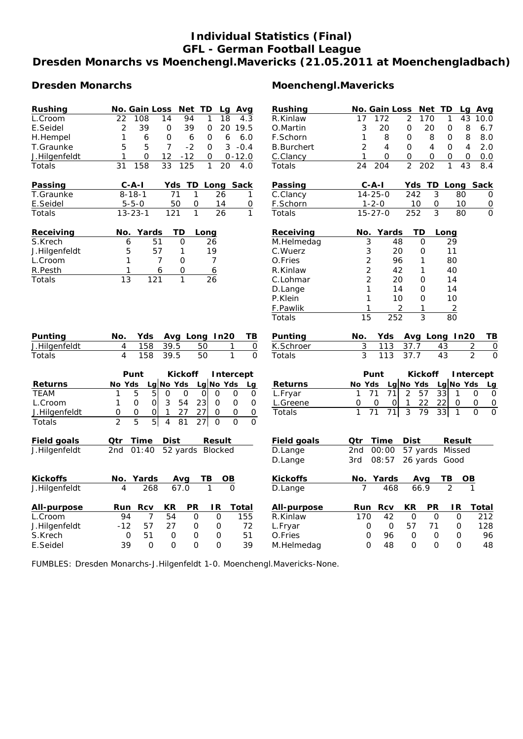# **Individual Statistics (Final) GFL - German Football League Dresden Monarchs vs Moenchengl.Mavericks (21.05.2011 at Moenchengladbach)**

| Rushing                                                                                                                        | Net TD<br><b>No. Gain Loss</b><br>Avg<br>Lg                                                      | Rushing               | Net TD<br><b>No. Gain Loss</b><br>Lg Avg                                                    |
|--------------------------------------------------------------------------------------------------------------------------------|--------------------------------------------------------------------------------------------------|-----------------------|---------------------------------------------------------------------------------------------|
| L.Croom                                                                                                                        | 22<br>108<br>14<br>94<br>18<br>4.3<br>1                                                          | R.Kinlaw              | 172<br>2<br>170<br>1<br>43<br>17<br>10.0                                                    |
| E.Seidel                                                                                                                       | 39<br>39<br>20 19.5<br>2<br>$\mathbf 0$<br>0                                                     | O.Martin              | 3<br>20<br>8<br>$\mathbf 0$<br>20<br>0<br>6.7                                               |
| H.Hempel                                                                                                                       | 1<br>6<br>0<br>6<br>0<br>6<br>6.0                                                                | F.Schorn              | 8<br>8<br>1<br>$\Omega$<br>8<br>0<br>8.0                                                    |
| T.Graunke                                                                                                                      | 5<br>$\overline{7}$<br>$-2$<br>5<br>0<br>3<br>$-0.4$                                             | <b>B.Burchert</b>     | $\overline{2}$<br>4<br>4<br>0<br>4<br>2.0<br>O                                              |
| J.Hilgenfeldt                                                                                                                  | $-12$<br>$0 - 12.0$<br>1<br>0<br>12<br>0                                                         | C.Clancy              | 1<br>0<br>0<br>0<br>0<br>0<br>0.0                                                           |
| Totals                                                                                                                         | 158<br>33<br>125<br>31<br>1<br>20<br>4.0                                                         | Totals                | $\overline{2}$<br>202<br>$\mathbf{1}$<br>24<br>204<br>43<br>8.4                             |
| Passing                                                                                                                        | $C - A - I$<br>Yds<br>TD_Long Sack                                                               | Passing               | Yds TD Long Sack<br>$C - A - I$                                                             |
| T.Graunke                                                                                                                      | $8 - 18 - 1$<br>71<br>1<br>26<br>1                                                               | C.Clancy              | $14 - 25 - 0$<br>242<br>3<br>80<br>0                                                        |
| E.Seidel                                                                                                                       | 50<br>$5 - 5 - 0$<br>0<br>14<br>0                                                                | F.Schorn              | $1 - 2 - 0$<br>10<br>0<br>10<br>$\overline{0}$                                              |
| Totals                                                                                                                         | 1<br>26<br>$\mathbf{1}$<br>$13 - 23 - 1$<br>121                                                  | Totals                | 252<br>3<br>80<br>$15 - 27 - 0$<br>$\Omega$                                                 |
| Receiving                                                                                                                      | No.<br>Yards<br>TD<br>Long                                                                       | Receiving             | Yards<br>No.<br>TD<br>Long                                                                  |
| S.Krech                                                                                                                        | 6<br>51<br>O<br>26                                                                               | M.Helmedag            | 3<br>48<br>0<br>29                                                                          |
| J.Hilgenfeldt                                                                                                                  | 57<br>19<br>5<br>1                                                                               | C.Wuerz               | 3<br>20<br>11<br>0                                                                          |
| L.Croom                                                                                                                        | $\mathbf{1}$<br>$\overline{7}$<br>0<br>7                                                         | O.Fries               | $\overline{c}$<br>96<br>1<br>80                                                             |
| R.Pesth                                                                                                                        | 1<br>0<br>6<br>6                                                                                 | R.Kinlaw              | 2<br>40<br>42<br>1                                                                          |
| Totals                                                                                                                         | 13<br>121<br>1<br>26                                                                             | C.Lohmar              | $\overline{2}$<br>20<br>14<br>0                                                             |
|                                                                                                                                |                                                                                                  | D.Lange               | 1<br>14<br>O<br>14                                                                          |
|                                                                                                                                |                                                                                                  | P.Klein               | 1<br>10<br>10<br>0                                                                          |
|                                                                                                                                |                                                                                                  | F.Pawlik              | $\overline{2}$<br>2<br>1<br>1                                                               |
|                                                                                                                                |                                                                                                  | Totals                | 3<br>15<br>252<br>80                                                                        |
|                                                                                                                                |                                                                                                  |                       |                                                                                             |
|                                                                                                                                | Avg Long In20<br>No.<br>Yds<br>TВ                                                                | Punting               | Avg Long In20<br>No.<br>Yds<br><u>ТВ</u>                                                    |
|                                                                                                                                | 158<br>39.5<br>4<br>50<br>1<br>0                                                                 | K.Schroer             | 3<br>113<br>37.7<br>43<br>2<br>$\overline{0}$                                               |
|                                                                                                                                | 4<br>158<br>39.5<br>1<br>$\Omega$<br>50                                                          | Totals                | $\overline{3}$<br>$\overline{2}$<br>$\mathbf{O}$<br>113<br>37.7<br>43                       |
|                                                                                                                                | Punt<br><b>Kickoff</b><br>Intercept                                                              |                       | Punt<br><b>Kickoff</b><br>Intercept                                                         |
|                                                                                                                                | Lg $No$ Yds<br>No Yds<br>Lg $No$ Yds<br>Lg                                                       | <b>Returns</b>        | Lg No Yds<br>Lg No Yds<br>No Yds<br>Lg                                                      |
|                                                                                                                                | 5<br>5<br>O<br>O<br>$\Omega$<br>$\circ$<br>1<br>0<br>0                                           | L.Fryar               | 2<br>57<br>33<br>71<br>71<br>1<br>$\mathbf{1}$<br>0<br>0                                    |
| L.Croom                                                                                                                        | 23<br>0<br>$\Omega$<br>3<br>54<br>$\mathbf 0$<br>0<br>1<br>0                                     | L.Greene              | 22<br>22<br>0<br>0<br>0l<br>0<br>1<br>0<br>0                                                |
|                                                                                                                                | 0<br>0<br>0<br>1<br>27<br>27<br>O<br>0<br>0                                                      | Totals                | $\overline{3}$<br>71<br>79<br>33<br>$\overline{1}$<br>$\overline{O}$<br>$\Omega$<br>1<br>71 |
|                                                                                                                                | 5<br>$\overline{2}$<br>5<br>$\overline{4}$<br>81<br>27<br>$\overline{O}$<br>$\Omega$<br>$\Omega$ |                       |                                                                                             |
|                                                                                                                                | Time<br><b>Dist</b><br><b>Result</b><br>Qtr                                                      | <b>Field goals</b>    | <b>Dist</b><br>Qtr<br>Time<br><b>Result</b>                                                 |
|                                                                                                                                | 52 yards Blocked<br>2nd<br>01:40                                                                 | D.Lange               | 57 yards Missed<br>2 <sub>nd</sub><br>00:00                                                 |
| Punting<br>J.Hilgenfeldt<br>Totals<br><b>Returns</b><br><b>TEAM</b><br>J.Hilgenfeldt<br>Totals<br>Field goals<br>J.Hilgenfeldt |                                                                                                  | D.Lange               | 3rd<br>08:57<br>26 yards Good                                                               |
| <b>Kickoffs</b>                                                                                                                | No. Yards<br>TВ<br>OВ<br>Avg                                                                     | <b>Kickoffs</b>       | No. Yards<br>TВ<br>OВ<br>Avg                                                                |
| J.Hilgenfeldt                                                                                                                  | 67.0<br>4<br>268<br>1<br>$\Omega$                                                                | D.Lange               | 468<br>66.9<br>2<br>7<br>1                                                                  |
| <b>All-purpose</b>                                                                                                             | <b>Rcv</b><br>ΚR<br>PR<br>IR.<br>Total<br>Run                                                    | All-purpose           | <u>Rcv</u><br>KR<br><b>PR</b><br>IR.<br>Run<br>Total                                        |
| L.Croom                                                                                                                        | 94<br>7<br>54<br>$\Omega$<br>0<br>155                                                            | R.Kinlaw              | 42<br>$\Omega$<br>$\Omega$<br>$\mathbf{O}$<br>212<br>170                                    |
| J.Hilgenfeldt                                                                                                                  | $-12$<br>57<br>72<br>27<br>0<br>0                                                                | L.Fryar               | 57<br>71<br>0<br>128<br>0<br>0                                                              |
| S.Krech<br>E.Seidel                                                                                                            | 51<br>0<br>51<br>0<br>0<br>0<br>39<br>$\mathbf 0$<br>0<br>O<br>0<br>39                           | O.Fries<br>M.Helmedag | 96<br>0<br>0<br>0<br>96<br>0<br>0<br>48<br>0<br>0<br>0<br>48                                |

FUMBLES: Dresden Monarchs-J.Hilgenfeldt 1-0. Moenchengl.Mavericks-None.

# **Dresden Monarchs Moenchengl.Mavericks**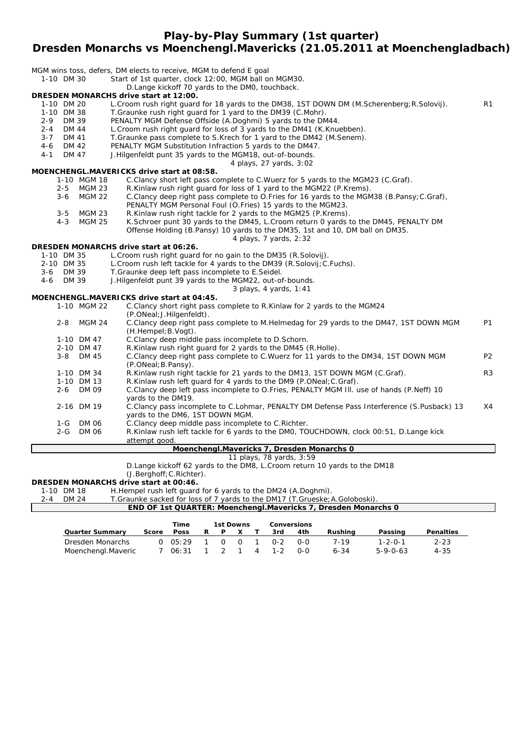**Play-by-Play Summary (1st quarter)**

# **Dresden Monarchs vs Moenchengl.Mavericks (21.05.2011 at Moenchengladbach)**

| 1-10 DM 30                       | MGM wins toss, defers, DM elects to receive, MGM to defend E goal<br>Start of 1st quarter, clock 12:00, MGM ball on MGM30.   |                |
|----------------------------------|------------------------------------------------------------------------------------------------------------------------------|----------------|
|                                  | D.Lange kickoff 70 yards to the DM0, touchback.                                                                              |                |
|                                  | DRESDEN MONARCHS drive start at 12:00.                                                                                       |                |
| 1-10 DM 20                       | L. Croom rush right guard for 18 yards to the DM38, 1ST DOWN DM (M. Scherenberg; R. Solovij).                                | R <sub>1</sub> |
| 1-10 DM 38                       | T. Graunke rush right quard for 1 yard to the DM39 (C. Mohr).                                                                |                |
| $2 - 9$<br>DM 39                 | PENALTY MGM Defense Offside (A.Doghmi) 5 yards to the DM44.                                                                  |                |
| <b>DM 44</b><br>$2 - 4$          | L. Croom rush right guard for loss of 3 yards to the DM41 (K. Knuebben).                                                     |                |
| $3 - 7$<br>DM 41<br>DM 42<br>4-6 | T. Graunke pass complete to S. Krech for 1 yard to the DM42 (M. Senem).                                                      |                |
| $4 - 1$<br>DM 47                 | PENALTY MGM Substitution Infraction 5 yards to the DM47.<br>J.Hilgenfeldt punt 35 yards to the MGM18, out-of-bounds.         |                |
|                                  | 4 plays, 27 yards, 3:02                                                                                                      |                |
|                                  | MOENCHENGL.MAVERICKS drive start at 08:58.                                                                                   |                |
| 1-10 MGM 18                      | C.Clancy short left pass complete to C.Wuerz for 5 yards to the MGM23 (C.Graf).                                              |                |
| $2 - 5$<br><b>MGM 23</b>         | R.Kinlaw rush right guard for loss of 1 yard to the MGM22 (P.Krems).                                                         |                |
| <b>MGM 22</b><br>$3 - 6$         | C.Clancy deep right pass complete to O.Fries for 16 yards to the MGM38 (B.Pansy; C.Graf),                                    |                |
|                                  | PENALTY MGM Personal Foul (O.Fries) 15 yards to the MGM23.                                                                   |                |
| $3 - 5$<br><b>MGM 23</b>         | R.Kinlaw rush right tackle for 2 yards to the MGM25 (P.Krems).                                                               |                |
| <b>MGM 25</b><br>$4 - 3$         | K. Schroer punt 30 yards to the DM45, L. Croom return 0 yards to the DM45, PENALTY DM                                        |                |
|                                  | Offense Holding (B.Pansy) 10 yards to the DM35, 1st and 10, DM ball on DM35.                                                 |                |
|                                  | 4 plays, 7 yards, 2:32<br>DRESDEN MONARCHS drive start at 06:26.                                                             |                |
| 1-10 DM 35                       | L. Croom rush right quard for no gain to the DM35 (R. Solovij).                                                              |                |
| 2-10 DM 35                       | L. Croom rush left tackle for 4 yards to the DM39 (R. Solovij; C. Fuchs).                                                    |                |
| 3-6 DM 39                        | T.Graunke deep left pass incomplete to E.Seidel.                                                                             |                |
| DM 39<br>4-6                     | J. Hilgenfeldt punt 39 yards to the MGM22, out-of-bounds.                                                                    |                |
|                                  | 3 plays, 4 yards, 1:41                                                                                                       |                |
|                                  | MOENCHENGL.MAVERICKS drive start at 04:45.                                                                                   |                |
| 1-10 MGM 22                      | C.Clancy short right pass complete to R.Kinlaw for 2 yards to the MGM24                                                      |                |
|                                  | (P.ONeal; J.Hilgenfeldt).                                                                                                    |                |
| $2 - 8$<br><b>MGM 24</b>         | C.Clancy deep right pass complete to M.Helmedag for 29 yards to the DM47, 1ST DOWN MGM<br>(H.Hempel; B.Vogt).                | P1             |
| 1-10 DM 47                       | C.Clancy deep middle pass incomplete to D.Schorn.                                                                            |                |
| 2-10 DM 47                       | R.Kinlaw rush right guard for 2 yards to the DM45 (R.Holle).                                                                 | P <sub>2</sub> |
| DM 45<br>$3 - 8$                 | C.Clancy deep right pass complete to C.Wuerz for 11 yards to the DM34, 1ST DOWN MGM<br>(P.ONeal; B.Pansy).                   |                |
| 1-10 DM 34                       | R. Kinlaw rush right tackle for 21 yards to the DM13, 1ST DOWN MGM (C. Graf).                                                | R3             |
| 1-10 DM 13                       | R.Kinlaw rush left quard for 4 yards to the DM9 (P.ONeal; C.Graf).                                                           |                |
| DM 09<br>$2 - 6$                 | C.Clancy deep left pass incomplete to O.Fries, PENALTY MGM III. use of hands (P.Neff) 10<br>yards to the DM19.               |                |
| 2-16 DM 19                       | C.Clancy pass incomplete to C.Lohmar, PENALTY DM Defense Pass Interference (S.Pusback) 13<br>yards to the DM6, 1ST DOWN MGM. | X4             |
| $1-G$<br><b>DM 06</b>            | C.Clancy deep middle pass incomplete to C.Richter.                                                                           |                |
| $2 - G$<br><b>DM 06</b>          | R.Kinlaw rush left tackle for 6 yards to the DMO, TOUCHDOWN, clock 00:51, D.Lange kick<br>attempt good.                      |                |
|                                  | Moenchengl.Mavericks 7, Dresden Monarchs 0                                                                                   |                |
|                                  | 11 plays, 78 yards, 3:59                                                                                                     |                |
|                                  | D. Lange kickoff 62 yards to the DM8, L. Croom return 10 yards to the DM18                                                   |                |
|                                  | (J.Berghoff; C.Richter).                                                                                                     |                |
| 1-10 DM 18                       | DRESDEN MONARCHS drive start at 00:46.<br>H.Hempel rush left guard for 6 yards to the DM24 (A.Doghmi).                       |                |
| $2 - 4$<br><b>DM 24</b>          | T. Graunke sacked for loss of 7 yards to the DM17 (T. Grueske; A. Goloboski).                                                |                |
|                                  | END OF 1st QUARTER: Moenchengl.Mavericks 7, Dresden Monarchs 0                                                               |                |
|                                  |                                                                                                                              |                |

|                        |       | Time        | 1st Downs |        |   |         | <b>Conversions</b> |          |                  |                  |
|------------------------|-------|-------------|-----------|--------|---|---------|--------------------|----------|------------------|------------------|
| <b>Quarter Summary</b> | Score | <b>Poss</b> | P         |        |   | 3rd     | 4th                | Rushina  | Passing          | <b>Penalties</b> |
| Dresden Monarchs       | O.    | 05:29       | $\cap$    | $\cap$ |   | በ-2     | റ-റ                | 7-19     | $1 - 2 - 0 - 1$  | $2 - 23$         |
| Moenchengl.Maveric     |       | 06:31       |           |        | 4 | $1 - 2$ | റ-റ                | $6 - 34$ | $5 - 9 - 0 - 63$ | 4-35             |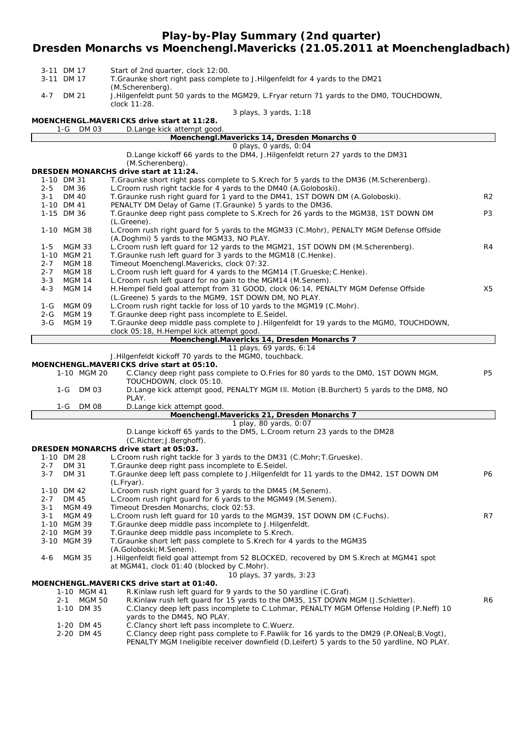#### **Play-by-Play Summary (2nd quarter)**

#### **Dresden Monarchs vs Moenchengl.Mavericks (21.05.2011 at Moenchengladbach)**

|                        | 3-11 DM 17                              | Start of 2nd quarter, clock 12:00.                                                                                                                  |                |  |  |  |  |
|------------------------|-----------------------------------------|-----------------------------------------------------------------------------------------------------------------------------------------------------|----------------|--|--|--|--|
|                        | 3-11 DM 17                              | T. Graunke short right pass complete to J. Hilgenfeldt for 4 yards to the DM21<br>(M.Scherenberg).                                                  |                |  |  |  |  |
| 4-7                    | DM 21                                   | J. Hilgenfeldt punt 50 yards to the MGM29, L. Fryar return 71 yards to the DM0, TOUCHDOWN,<br>clock 11:28.                                          |                |  |  |  |  |
| 3 plays, 3 yards, 1:18 |                                         |                                                                                                                                                     |                |  |  |  |  |
|                        | DM 03<br>1-G                            | MOENCHENGL.MAVERICKS drive start at 11:28.<br>D. Lange kick attempt good.                                                                           |                |  |  |  |  |
|                        |                                         | Moenchengl.Mavericks 14, Dresden Monarchs 0                                                                                                         |                |  |  |  |  |
|                        |                                         | 0 plays, 0 yards, 0:04                                                                                                                              |                |  |  |  |  |
|                        |                                         | D. Lange kickoff 66 yards to the DM4, J. Hilgenfeldt return 27 yards to the DM31<br>(M.Scherenberg).                                                |                |  |  |  |  |
|                        |                                         | DRESDEN MONARCHS drive start at 11:24.                                                                                                              |                |  |  |  |  |
|                        | 1-10 DM 31                              | T.Graunke short right pass complete to S.Krech for 5 yards to the DM36 (M.Scherenberg).                                                             |                |  |  |  |  |
| $2 - 5$                | <b>DM 36</b>                            | L. Croom rush right tackle for 4 yards to the DM40 (A. Goloboski).                                                                                  | R <sub>2</sub> |  |  |  |  |
| $3 - 1$                | <b>DM 40</b><br>1-10 DM 41              | T. Graunke rush right guard for 1 yard to the DM41, 1ST DOWN DM (A. Goloboski).<br>PENALTY DM Delay of Game (T.Graunke) 5 yards to the DM36.        |                |  |  |  |  |
|                        | 1-15 DM 36                              | T.Graunke deep right pass complete to S.Krech for 26 yards to the MGM38, 1ST DOWN DM<br>(L.Greene).                                                 | P <sub>3</sub> |  |  |  |  |
|                        | 1-10 MGM 38                             | L.Croom rush right guard for 5 yards to the MGM33 (C.Mohr), PENALTY MGM Defense Offside<br>(A.Doghmi) 5 yards to the MGM33, NO PLAY.                |                |  |  |  |  |
| 1-5                    | MGM 33                                  | L. Croom rush left guard for 12 yards to the MGM21, 1ST DOWN DM (M. Scherenberg).                                                                   | R4             |  |  |  |  |
|                        | 1-10 MGM 21                             | T. Graunke rush left guard for 3 yards to the MGM18 (C. Henke).                                                                                     |                |  |  |  |  |
| $2 - 7$<br>$2 - 7$     | <b>MGM 18</b><br><b>MGM 18</b>          | Timeout Moenchengl.Mavericks, clock 07:32.<br>L. Croom rush left guard for 4 yards to the MGM14 (T. Grueske; C. Henke).                             |                |  |  |  |  |
| $3 - 3$                | <b>MGM 14</b>                           | L. Croom rush left guard for no gain to the MGM14 (M. Senem).                                                                                       |                |  |  |  |  |
| $4 - 3$                | <b>MGM 14</b>                           | H.Hempel field goal attempt from 31 GOOD, clock 06:14, PENALTY MGM Defense Offside                                                                  | X5             |  |  |  |  |
|                        |                                         | (L.Greene) 5 yards to the MGM9, 1ST DOWN DM, NO PLAY.                                                                                               |                |  |  |  |  |
| 1-G<br>2-G             | MGM 09<br><b>MGM 19</b>                 | L. Croom rush right tackle for loss of 10 yards to the MGM19 (C. Mohr).<br>T.Graunke deep right pass incomplete to E.Seidel.                        |                |  |  |  |  |
| $3-G$                  | <b>MGM 19</b>                           | T.Graunke deep middle pass complete to J.Hilgenfeldt for 19 yards to the MGM0, TOUCHDOWN,                                                           |                |  |  |  |  |
|                        |                                         | clock 05:18, H.Hempel kick attempt good.                                                                                                            |                |  |  |  |  |
|                        |                                         | Moenchengl.Mavericks 14, Dresden Monarchs 7<br>11 plays, 69 yards, 6:14                                                                             |                |  |  |  |  |
|                        |                                         | J.Hilgenfeldt kickoff 70 yards to the MGM0, touchback.                                                                                              |                |  |  |  |  |
|                        |                                         | MOENCHENGL.MAVERICKS drive start at 05:10.                                                                                                          |                |  |  |  |  |
|                        | 1-10 MGM 20                             | C.Clancy deep right pass complete to O.Fries for 80 yards to the DM0, 1ST DOWN MGM,<br>TOUCHDOWN, clock 05:10.                                      | P <sub>5</sub> |  |  |  |  |
|                        | $1-G$<br>DM 03                          | D.Lange kick attempt good, PENALTY MGM III. Motion (B.Burchert) 5 yards to the DM8, NO<br>PLAY.                                                     |                |  |  |  |  |
|                        | $1-G$<br>DM 08                          | D.Lange kick attempt good.<br>Moenchengl.Mavericks 21, Dresden Monarchs 7                                                                           |                |  |  |  |  |
|                        |                                         | 1 play, 80 yards, 0:07                                                                                                                              |                |  |  |  |  |
|                        |                                         | D.Lange kickoff 65 yards to the DM5, L.Croom return 23 yards to the DM28                                                                            |                |  |  |  |  |
|                        |                                         | (C.Richter; J.Berghoff).                                                                                                                            |                |  |  |  |  |
|                        |                                         | DRESDEN MONARCHS drive start at 05:03.<br>L. Croom rush right tackle for 3 yards to the DM31 (C. Mohr; T. Grueske).                                 |                |  |  |  |  |
| $2 - 7$                | 1-10 DM 28<br>DM 31                     | T. Graunke deep right pass incomplete to E. Seidel.                                                                                                 |                |  |  |  |  |
| $3 - 7$                | DM 31                                   | T.Graunke deep left pass complete to J.Hilgenfeldt for 11 yards to the DM42, 1ST DOWN DM                                                            | P6             |  |  |  |  |
|                        |                                         | $(L.Fryar)$ .                                                                                                                                       |                |  |  |  |  |
|                        | 1-10 DM 42                              | L. Croom rush right guard for 3 yards to the DM45 (M. Senem).                                                                                       |                |  |  |  |  |
| $2 - 7$<br>$3 - 1$     | DM 45<br><b>MGM 49</b>                  | L. Croom rush right guard for 6 yards to the MGM49 (M. Senem).<br>Timeout Dresden Monarchs, clock 02:53.                                            |                |  |  |  |  |
| $3 - 1$                | <b>MGM 49</b>                           | L. Croom rush left guard for 10 yards to the MGM39, 1ST DOWN DM (C. Fuchs).                                                                         | R7             |  |  |  |  |
|                        | 1-10 MGM 39                             | T.Graunke deep middle pass incomplete to J.Hilgenfeldt.                                                                                             |                |  |  |  |  |
|                        | 2-10 MGM 39                             | T. Graunke deep middle pass incomplete to S. Krech.                                                                                                 |                |  |  |  |  |
|                        | 3-10 MGM 39                             | T. Graunke short left pass complete to S. Krech for 4 yards to the MGM35<br>(A.Goloboski; M.Senem).                                                 |                |  |  |  |  |
| 4-6                    | <b>MGM 35</b>                           | J.Hilgenfeldt field goal attempt from 52 BLOCKED, recovered by DM S.Krech at MGM41 spot                                                             |                |  |  |  |  |
|                        |                                         | at MGM41, clock 01:40 (blocked by C.Mohr).                                                                                                          |                |  |  |  |  |
|                        |                                         | 10 plays, 37 yards, 3:23                                                                                                                            |                |  |  |  |  |
|                        |                                         | MOENCHENGL.MAVERICKS drive start at 01:40.                                                                                                          |                |  |  |  |  |
|                        | 1-10 MGM 41<br><b>MGM 50</b><br>$2 - 1$ | R.Kinlaw rush left quard for 9 yards to the 50 yardline (C.Graf).<br>R.Kinlaw rush left guard for 15 yards to the DM35, 1ST DOWN MGM (J.Schletter). | R6             |  |  |  |  |
|                        | 1-10 DM 35                              | C.Clancy deep left pass incomplete to C.Lohmar, PENALTY MGM Offense Holding (P.Neff) 10                                                             |                |  |  |  |  |
|                        |                                         | yards to the DM45, NO PLAY.                                                                                                                         |                |  |  |  |  |
|                        | 1-20 DM 45                              | C.Clancy short left pass incomplete to C.Wuerz.                                                                                                     |                |  |  |  |  |
|                        | 2-20 DM 45                              | C.Clancy deep right pass complete to F.Pawlik for 16 yards to the DM29 (P.ONeal; B.Vogt),                                                           |                |  |  |  |  |

PENALTY MGM Ineligible receiver downfield (D.Leifert) 5 yards to the 50 yardline, NO PLAY.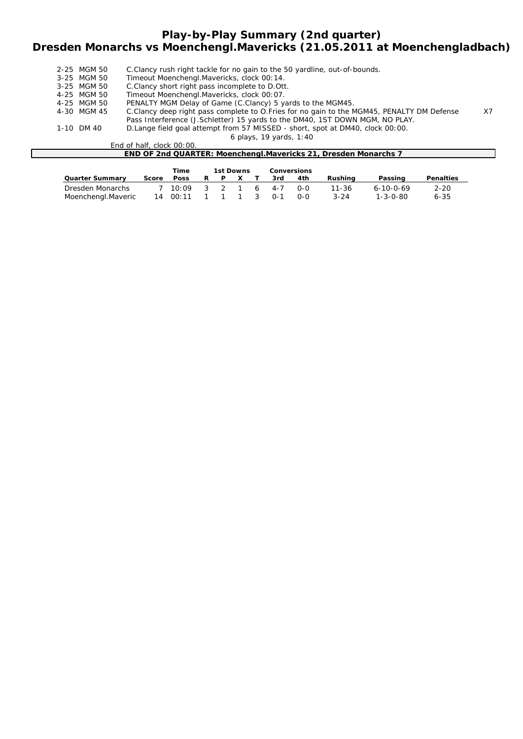## **Play-by-Play Summary (2nd quarter) Dresden Monarchs vs Moenchengl.Mavericks (21.05.2011 at Moenchengladbach)**

| 2-25 MGM 50 | C. Clancy rush right tackle for no gain to the 50 yardline, out-of-bounds.                |                |
|-------------|-------------------------------------------------------------------------------------------|----------------|
| 3-25 MGM 50 | Timeout Moenchengl. Mavericks, clock 00:14.                                               |                |
| 3-25 MGM 50 | C.Clancy short right pass incomplete to D.Ott.                                            |                |
| 4-25 MGM 50 | Timeout Moenchengl.Mavericks, clock 00:07.                                                |                |
| 4-25 MGM 50 | PENALTY MGM Delay of Game (C.Clancy) 5 yards to the MGM45.                                |                |
| 4-30 MGM 45 | C.Clancy deep right pass complete to O.Fries for no gain to the MGM45, PENALTY DM Defense | X <sub>7</sub> |
|             | Pass Interference (J.Schletter) 15 yards to the DM40, 1ST DOWN MGM, NO PLAY.              |                |
| 1-10 DM 40  | D. Lange field goal attempt from 57 MISSED - short, spot at DM40, clock 00:00.            |                |
|             | 6 plays, 19 yards, 1:40                                                                   |                |
|             |                                                                                           |                |

End of half, clock 00:00.

| ±nd or nair.<br>CIOCK UU:UU.                                           |  |
|------------------------------------------------------------------------|--|
| <b>END OF 2nd QUARTER: Moenchengl Mavericks 21, Dresden Monarchs 1</b> |  |
|                                                                        |  |
|                                                                        |  |

|                        |       | Time                 | <b>1st Downs</b> | <b>Conversions</b> |       |     |          |                   |                  |
|------------------------|-------|----------------------|------------------|--------------------|-------|-----|----------|-------------------|------------------|
| <b>Quarter Summary</b> | Score | <b>Poss</b>          | R P X            |                    | 3rd   | 4th | Rushina  | Passing           | <b>Penalties</b> |
| Dresden Monarchs       |       | 7 10.09              | $3 \t3 \t1$      |                    | 6 4-7 | റ-റ | 11-36    | $6 - 10 - 0 - 69$ | 2-20             |
| Moenchengl.Maveric     |       | 14 00:11 1 1 1 3 0-1 |                  |                    |       | റ-റ | $3 - 24$ | $1 - 3 - 0 - 80$  | 6-35             |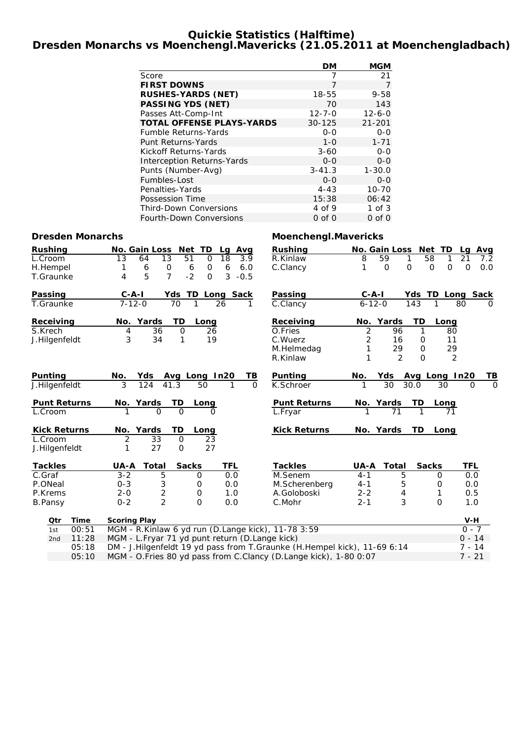### **Quickie Statistics (Halftime) Dresden Monarchs vs Moenchengl.Mavericks (21.05.2011 at Moenchengladbach)**

|                                   | DМ           | <b>MGM</b>   |
|-----------------------------------|--------------|--------------|
| Score                             | 7            | 21           |
| <b>FIRST DOWNS</b>                | 7            | 7            |
| <b>RUSHES-YARDS (NET)</b>         | 18-55        | $9 - 58$     |
| <b>PASSING YDS (NET)</b>          | 70           | 143          |
| Passes Att-Comp-Int               | $12 - 7 - 0$ | $12 - 6 - 0$ |
| <b>TOTAL OFFENSE PLAYS-YARDS</b>  | $30 - 125$   | $21 - 201$   |
| <b>Fumble Returns-Yards</b>       | $0 - 0$      | $0 - 0$      |
| Punt Returns-Yards                | $1 - 0$      | $1 - 71$     |
| Kickoff Returns-Yards             | $3 - 60$     | ი-ი          |
| <b>Interception Returns-Yards</b> | $0 - 0$      | $0 - 0$      |
| Punts (Number-Avg)                | $3 - 41.3$   | $1 - 30.0$   |
| Fumbles-Lost                      | $0 - 0$      | $0 - 0$      |
| Penalties-Yards                   | $4 - 43$     | $10 - 70$    |
| Possession Time                   | 15:38        | 06:42        |
| <b>Third-Down Conversions</b>     | 4 of 9       | $1$ of $3$   |
| <b>Fourth-Down Conversions</b>    | 0 of 0       | $0$ of $0$   |

### **Dresden Monarchs Moenchengl.Mavericks**

| <b>Rushing</b>      |       | <b>No. Gain Loss</b>                           |                              | Net TD                      | Lg Avg           | <b>Rushing</b>                                                           |                | No. Gain Loss  | Net TD                     | Avg<br>Lg                |          |
|---------------------|-------|------------------------------------------------|------------------------------|-----------------------------|------------------|--------------------------------------------------------------------------|----------------|----------------|----------------------------|--------------------------|----------|
| L.Croom             |       | $\overline{13}$<br>64                          | $\overline{13}$              | $\overline{51}$<br>$\Omega$ | 18<br>3.9        | R.Kinlaw                                                                 | 8              | 59             | 58<br>1                    | 21<br>7.2                |          |
| H.Hempel            |       | 6<br>1                                         | 0                            | 6<br>$\mathsf{O}$           | 6<br>6.0         | C.Clancy                                                                 | 1              | $\mathbf 0$    | $\mathbf 0$<br>$\mathbf 0$ | 0<br>$\mathsf{O}$<br>0.0 |          |
| T.Graunke           |       | 5<br>4                                         | $\overline{7}$               | $-2$<br>$\Omega$            | 3<br>$-0.5$      |                                                                          |                |                |                            |                          |          |
| Passing             |       | $C - A - I$                                    |                              |                             | Yds TD Long Sack | Passing                                                                  | $C - A - I$    |                |                            | Yds TD Long Sack         |          |
| T.Graunke           |       | $7 - 12 - 0$                                   | 70                           | 1                           | 26<br>1          | C.Clancy                                                                 | $6 - 12 - 0$   |                | 143<br>1                   | 80                       | $\Omega$ |
| Receiving           |       | Yards<br>No.                                   | TD                           | Long                        |                  | Receiving                                                                | No.            | Yards          | TD<br>Long                 |                          |          |
| S.Krech             |       | 4                                              | 36<br>$\mathbf 0$<br>34<br>1 | 26                          |                  | O.Fries                                                                  | $\overline{2}$ | 96             | 1                          | 80                       |          |
| J.Hilgenfeldt       |       | 3                                              | 19                           |                             | C.Wuerz          | 2                                                                        | 16             | $\mathbf 0$    | 11                         |                          |          |
|                     |       |                                                |                              |                             |                  | M.Helmedag                                                               | 1              | 29             | $\mathbf 0$                | 29                       |          |
|                     |       |                                                |                              |                             |                  | R.Kinlaw                                                                 | 1              | $\mathfrak{D}$ | $\Omega$                   | 2                        |          |
| Punting             |       | Yds<br>No.                                     |                              | Avg Long In20               | ΤВ               | Punting                                                                  | No.            | Yds            | Avg Long In20              |                          | TВ       |
| J.Hilgenfeldt       |       | 3<br>124                                       | 41.3                         | 50                          | 1<br>$\Omega$    | K.Schroer                                                                | 1              | 30             | 30.0<br>30                 | $\Omega$                 | $\Omega$ |
| <b>Punt Returns</b> |       | No. Yards                                      | TD                           | Long                        |                  | <b>Punt Returns</b>                                                      |                | No. Yards      | TD<br>Long                 |                          |          |
| L.Croom             |       |                                                | $\Omega$<br>$\Omega$         | O                           |                  | L.Fryar                                                                  |                | 71             | 1                          | 71                       |          |
| <b>Kick Returns</b> |       | No. Yards                                      | TD                           | Long                        |                  | <b>Kick Returns</b>                                                      |                | No. Yards      | <b>TD</b><br>Long          |                          |          |
| L.Croom             |       | $\overline{2}$                                 | 33<br>$\mathbf 0$            | 23                          |                  |                                                                          |                |                |                            |                          |          |
| J.Hilgenfeldt       |       | 1                                              | 27<br>$\mathbf 0$            | 27                          |                  |                                                                          |                |                |                            |                          |          |
| <b>Tackles</b>      |       | UA-A                                           | Total                        | <b>Sacks</b>                | TFL              | <b>Tackles</b>                                                           | <b>UA-A</b>    | Total          | <b>Sacks</b>               | TFL                      |          |
| C.Graf              |       | $3 - 2$                                        | $\overline{5}$               | $\mathbf 0$                 | 0.0              | M.Senem                                                                  | $4 - 1$        | 5              | 0                          | 0.0                      |          |
| P.ONeal             |       | $0 - 3$                                        | 3                            | 0                           | 0.0              | M.Scherenberg                                                            | $4 - 1$        | 5              | 0                          | 0.0                      |          |
| P.Krems             |       | $2 - 0$                                        | $\overline{2}$               | 0                           | 1.0              | A.Goloboski                                                              | $2 - 2$        | 4              | 1                          | 0.5                      |          |
| <b>B.Pansy</b>      |       | $0 - 2$                                        | $\overline{2}$               | $\Omega$                    | 0.0              | C.Mohr                                                                   | $2 - 1$        | 3              | $\Omega$                   | 1.0                      |          |
| Otr                 | Time  | <b>Scoring Play</b>                            |                              |                             |                  |                                                                          |                |                |                            | V-H                      |          |
| 1st                 | 00:51 |                                                |                              |                             |                  | MGM - R.Kinlaw 6 yd run (D.Lange kick), 11-78 3:59                       |                |                |                            | $0 - 7$                  |          |
| 2 <sub>nd</sub>     | 11:28 | MGM - L.Fryar 71 yd punt return (D.Lange kick) |                              |                             |                  |                                                                          |                |                |                            | $0 - 14$                 |          |
|                     | 05:18 |                                                |                              |                             |                  | DM - J.Hilgenfeldt 19 yd pass from T.Graunke (H.Hempel kick), 11-69 6:14 |                |                |                            | $7 - 14$                 |          |
|                     | 05:10 |                                                |                              |                             |                  | MGM - O.Fries 80 yd pass from C.Clancy (D.Lange kick), 1-80 0:07         |                |                |                            | $7 - 21$                 |          |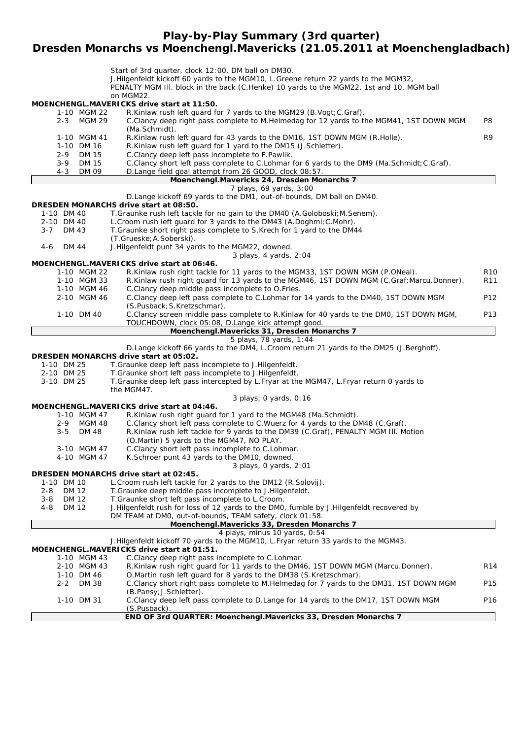**Play-by-Play Summary (3rd quarter)**

## **Dresden Monarchs vs Moenchengl.Mavericks (21.05.2011 at Moenchengladbach)**

|         |              |                       | Start of 3rd quarter, clock 12:00, DM ball on DM30.                                                                                               |                 |
|---------|--------------|-----------------------|---------------------------------------------------------------------------------------------------------------------------------------------------|-----------------|
|         |              |                       | J.Hilgenfeldt kickoff 60 yards to the MGM10, L.Greene return 22 yards to the MGM32,                                                               |                 |
|         |              |                       | PENALTY MGM III. block in the back (C.Henke) 10 yards to the MGM22, 1st and 10, MGM ball                                                          |                 |
|         |              |                       | on MGM22.<br><b>MOENCHENGL.MAVERICKS drive start at 11:50.</b>                                                                                    |                 |
|         |              | 1-10 MGM 22           | R.Kinlaw rush left guard for 7 yards to the MGM29 (B.Vogt; C.Graf).                                                                               |                 |
|         |              | 2-3 MGM 29            | C.Clancy deep right pass complete to M.Helmedag for 12 yards to the MGM41, 1ST DOWN MGM                                                           | P8              |
|         |              |                       | (Ma.Schmidt).                                                                                                                                     |                 |
|         |              | 1-10 MGM 41           | R.Kinlaw rush left guard for 43 yards to the DM16, 1ST DOWN MGM (R.Holle).                                                                        | R9              |
|         |              | 1-10 DM 16            | R.Kinlaw rush left guard for 1 yard to the DM15 (J.Schletter).                                                                                    |                 |
|         | $2 - 9$      | DM 15                 | C.Clancy deep left pass incomplete to F.Pawlik.                                                                                                   |                 |
|         | 3-9          | <b>DM 15</b>          | C.Clancy short left pass complete to C.Lohmar for 6 yards to the DM9 (Ma.Schmidt; C.Graf).                                                        |                 |
|         | $4 - 3$      | DM 09                 | D.Lange field goal attempt from 26 GOOD, clock 08:57.                                                                                             |                 |
|         |              |                       | Moenchengl.Mavericks 24, Dresden Monarchs 7                                                                                                       |                 |
|         |              |                       | 7 plays, 69 yards, 3:00                                                                                                                           |                 |
|         |              |                       | D.Lange kickoff 69 yards to the DM1, out-of-bounds, DM ball on DM40.                                                                              |                 |
|         |              |                       | DRESDEN MONARCHS drive start at 08:50.                                                                                                            |                 |
|         | 1-10 DM 40   |                       | T. Graunke rush left tackle for no gain to the DM40 (A. Goloboski; M. Senem).                                                                     |                 |
|         | 2-10 DM 40   |                       | L. Croom rush left guard for 3 yards to the DM43 (A. Doghmi; C. Mohr).                                                                            |                 |
| $3 - 7$ | DM 43        |                       | T. Graunke short right pass complete to S. Krech for 1 yard to the DM44                                                                           |                 |
|         |              |                       | (T.Grueske; A.Soberski).                                                                                                                          |                 |
| 4-6     | DM 44        |                       | J.Hilgenfeldt punt 34 yards to the MGM22, downed.                                                                                                 |                 |
|         |              |                       | 3 plays, 4 yards, 2:04<br>MOENCHENGL.MAVERICKS drive start at 06:46.                                                                              |                 |
|         |              | 1-10 MGM 22           | R.Kinlaw rush right tackle for 11 yards to the MGM33, 1ST DOWN MGM (P.ONeal).                                                                     | R <sub>10</sub> |
|         |              | 1-10 MGM 33           | R.Kinlaw rush right guard for 13 yards to the MGM46, 1ST DOWN MGM (C.Graf; Marcu.Donner).                                                         | <b>R11</b>      |
|         |              | 1-10 MGM 46           | C.Clancy deep middle pass incomplete to O.Fries.                                                                                                  |                 |
|         |              | 2-10 MGM 46           | C.Clancy deep left pass complete to C.Lohmar for 14 yards to the DM40, 1ST DOWN MGM                                                               | P12             |
|         |              |                       | (S.Pusback; S.Kretzschmar).                                                                                                                       |                 |
|         |              | 1-10 DM 40            | C.Clancy screen middle pass complete to R.Kinlaw for 40 yards to the DMO, 1ST DOWN MGM,                                                           | P13             |
|         |              |                       | TOUCHDOWN, clock 05:08, D.Lange kick attempt good.                                                                                                |                 |
|         |              |                       | Moenchengl.Mavericks 31, Dresden Monarchs 7                                                                                                       |                 |
|         |              |                       | 5 plays, 78 yards, 1:44                                                                                                                           |                 |
|         |              |                       | D.Lange kickoff 66 yards to the DM4, L.Croom return 21 yards to the DM25 (J.Berghoff).                                                            |                 |
|         |              |                       | DRESDEN MONARCHS drive start at 05:02.                                                                                                            |                 |
|         | 1-10 DM 25   |                       | T.Graunke deep left pass incomplete to J.Hilgenfeldt.                                                                                             |                 |
|         | 2-10 DM 25   |                       | T.Graunke short left pass incomplete to J.Hilgenfeldt.                                                                                            |                 |
|         | 3-10 DM 25   |                       | T.Graunke deep left pass intercepted by L.Fryar at the MGM47, L.Fryar return 0 yards to                                                           |                 |
|         |              |                       | the MGM47.                                                                                                                                        |                 |
|         |              |                       | 3 plays, 0 yards, 0:16                                                                                                                            |                 |
|         |              |                       | MOENCHENGL.MAVERICKS drive start at 04:46.                                                                                                        |                 |
|         | $2 - 9$      | 1-10 MGM 47<br>MGM 48 | R.Kinlaw rush right guard for 1 yard to the MGM48 (Ma.Schmidt).<br>C.Clancy short left pass complete to C.Wuerz for 4 yards to the DM48 (C.Graf). |                 |
|         | $3 - 5$      | DM 48                 | R.Kinlaw rush left tackle for 9 yards to the DM39 (C.Graf), PENALTY MGM III. Motion                                                               |                 |
|         |              |                       | (O.Martin) 5 yards to the MGM47, NO PLAY.                                                                                                         |                 |
|         |              | 3-10 MGM 47           | C.Clancy short left pass incomplete to C.Lohmar.                                                                                                  |                 |
|         |              | 4-10 MGM 47           | K.Schroer punt 43 yards to the DM10, downed.                                                                                                      |                 |
|         |              |                       | 3 plays, 0 yards, 2:01                                                                                                                            |                 |
|         |              |                       | DRESDEN MONARCHS drive start at 02:45.                                                                                                            |                 |
|         | 1-10 DM 10   |                       | L. Croom rush left tackle for 2 yards to the DM12 (R. Solovij).                                                                                   |                 |
| $2 - 8$ | <b>DM 12</b> |                       | T.Graunke deep middle pass incomplete to J.Hilgenfeldt.                                                                                           |                 |
| $3 - 8$ | <b>DM 12</b> |                       | T.Graunke short left pass incomplete to L.Croom.                                                                                                  |                 |
| 4-8     | <b>DM 12</b> |                       | J. Hilgenfeldt rush for loss of 12 yards to the DM0, fumble by J. Hilgenfeldt recovered by                                                        |                 |
|         |              |                       | DM TEAM at DMO, out-of-bounds, TEAM safety, clock 01:58.                                                                                          |                 |
|         |              |                       | Moenchengl.Mavericks 33, Dresden Monarchs 7                                                                                                       |                 |
|         |              |                       | 4 plays, minus 10 yards, 0:54                                                                                                                     |                 |
|         |              |                       | J. Hilgenfeldt kickoff 70 yards to the MGM10, L. Fryar return 33 yards to the MGM43.                                                              |                 |
|         |              |                       | MOENCHENGL.MAVERICKS drive start at 01:51.                                                                                                        |                 |
|         |              | 1-10 MGM 43           | C.Clancy deep right pass incomplete to C.Lohmar.                                                                                                  |                 |
|         |              | 2-10 MGM 43           | R.Kinlaw rush right guard for 11 yards to the DM46, 1ST DOWN MGM (Marcu.Donner).                                                                  | R <sub>14</sub> |
|         |              | 1-10 DM 46            | O.Martin rush left guard for 8 yards to the DM38 (S.Kretzschmar).                                                                                 |                 |
|         | $2 - 2$      | DM 38                 | C.Clancy short right pass complete to M.Helmedag for 7 yards to the DM31, 1ST DOWN MGM                                                            | P15             |
|         |              |                       | (B.Pansy; J.Schletter).                                                                                                                           |                 |
|         |              | 1-10 DM 31            | C.Clancy deep left pass complete to D.Lange for 14 yards to the DM17, 1ST DOWN MGM                                                                | P16             |
|         |              |                       | (S.Pusback).<br>END OF 3rd QUARTER: Moenchengl.Mavericks 33, Dresden Monarchs 7                                                                   |                 |
|         |              |                       |                                                                                                                                                   |                 |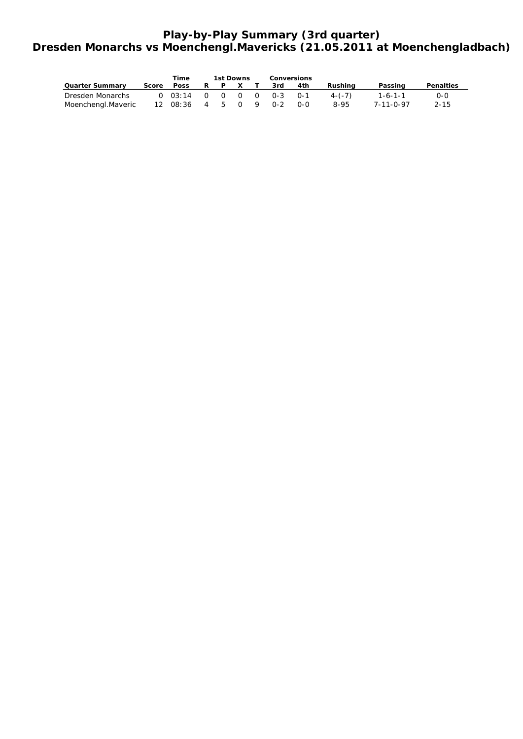# **Play-by-Play Summary (3rd quarter) Dresden Monarchs vs Moenchengl.Mavericks (21.05.2011 at Moenchengladbach)**

|                        |       | <b>Time</b>               | 1st Downs |       |  | <b>Conversions</b> |     |            |                   |                  |  |
|------------------------|-------|---------------------------|-----------|-------|--|--------------------|-----|------------|-------------------|------------------|--|
| <b>Quarter Summarv</b> | Score | <b>Poss</b>               |           |       |  | 3rd                | 4th | Rushina    | Passing           | <b>Penalties</b> |  |
| Dresden Monarchs       |       | $0$ 03:14 0 0 0 0 0-3 0-1 |           |       |  |                    |     | $4 - (-7)$ | $1 - 6 - 1 - 1$   | 0-0              |  |
| Moenchengl.Maveric     |       | 12 08:36                  |           | 4 5 0 |  | $O - 2$            | റ-റ | 8-95       | $7 - 11 - 0 - 97$ | $2 - 15$         |  |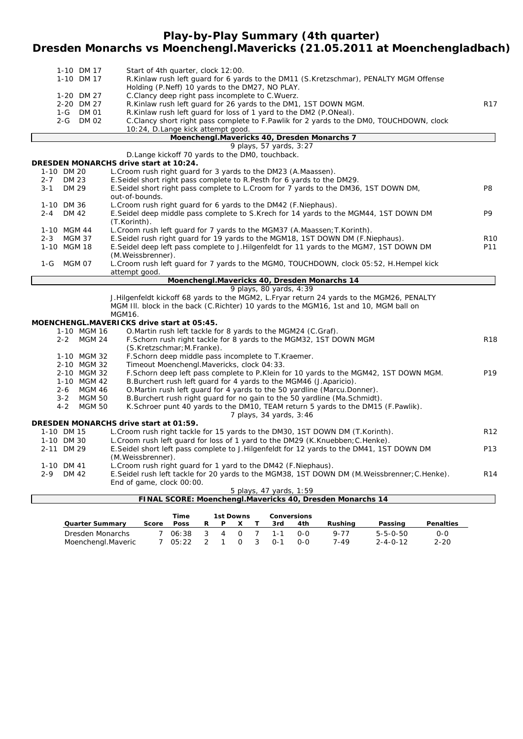# **Play-by-Play Summary (4th quarter) Dresden Monarchs vs Moenchengl.Mavericks (21.05.2011 at Moenchengladbach)**

| 1-10 DM 17<br>Start of 4th quarter, clock 12:00.<br>1-10 DM 17<br>R.Kinlaw rush left guard for 6 yards to the DM11 (S.Kretzschmar), PENALTY MGM Offense<br>Holding (P.Neff) 10 yards to the DM27, NO PLAY.<br>1-20 DM 27<br>C.Clancy deep right pass incomplete to C.Wuerz.<br>R.Kinlaw rush left guard for 26 yards to the DM1, 1ST DOWN MGM.<br>R <sub>17</sub><br>2-20 DM 27<br>1-G DM 01<br>R.Kinlaw rush left guard for loss of 1 yard to the DM2 (P.ONeal).<br>2-G DM 02<br>C.Clancy short right pass complete to F.Pawlik for 2 yards to the DMO, TOUCHDOWN, clock<br>10:24, D.Lange kick attempt good.<br>Moenchengl.Mavericks 40, Dresden Monarchs 7<br>9 plays, 57 yards, 3:27<br>D.Lange kickoff 70 yards to the DM0, touchback.<br>DRESDEN MONARCHS drive start at 10:24.<br>1-10 DM 20<br>L. Croom rush right guard for 3 yards to the DM23 (A. Maassen).<br><b>DM 23</b><br>E. Seidel short right pass complete to R. Pesth for 6 yards to the DM29.<br>$2 - 7$<br>E. Seidel short right pass complete to L. Croom for 7 yards to the DM36, 1ST DOWN DM,<br>$3 - 1$<br>DM 29<br>P <sub>8</sub><br>out-of-bounds.<br>1-10 DM 36<br>L. Croom rush right quard for 6 yards to the DM42 (F. Niephaus).<br>E. Seidel deep middle pass complete to S. Krech for 14 yards to the MGM44, 1ST DOWN DM<br>P <sub>9</sub><br>DM 42<br>$2 - 4$<br>(T.Korinth).<br>1-10 MGM 44<br>L. Croom rush left quard for 7 yards to the MGM37 (A. Maassen; T. Korinth).<br>E. Seidel rush right quard for 19 yards to the MGM18, 1ST DOWN DM (F. Niephaus).<br>$2 - 3$<br><b>MGM 37</b><br>E. Seidel deep left pass complete to J. Hilgenfeldt for 11 yards to the MGM7, 1ST DOWN DM<br>1-10 MGM 18<br>(M. Weissbrenner).<br>$1-G$<br>MGM 07<br>L. Croom rush left quard for 7 yards to the MGMO, TOUCHDOWN, clock 05:52, H. Hempel kick<br>attempt good.<br>Moenchengl.Mavericks 40, Dresden Monarchs 14<br>9 plays, 80 yards, 4:39<br>J. Hilgenfeldt kickoff 68 yards to the MGM2, L. Fryar return 24 yards to the MGM26, PENALTY<br>MGM III. block in the back (C.Richter) 10 yards to the MGM16, 1st and 10, MGM ball on<br>MGM16.<br>MOENCHENGL.MAVERICKS drive start at 05:45.<br>O.Martin rush left tackle for 8 yards to the MGM24 (C.Graf).<br>1-10 MGM 16<br>F.Schorn rush right tackle for 8 yards to the MGM32, 1ST DOWN MGM<br>2-2 MGM 24<br>(S.Kretzschmar; M.Franke).<br>F.Schorn deep middle pass incomplete to T.Kraemer.<br>1-10 MGM 32<br>2-10 MGM 32<br>Timeout Moenchengl.Mavericks, clock 04:33.<br>2-10 MGM 32<br>F. Schorn deep left pass complete to P. Klein for 10 yards to the MGM42, 1ST DOWN MGM.<br>1-10 MGM 42<br>B. Burchert rush left guard for 4 yards to the MGM46 (J. Aparicio).<br>MGM 46<br>O. Martin rush left quard for 4 yards to the 50 yardline (Marcu. Donner).<br>$2 - 6$<br>$3 - 2$<br><b>MGM 50</b><br>B.Burchert rush right guard for no gain to the 50 yardline (Ma.Schmidt).<br><b>MGM 50</b><br>K. Schroer punt 40 yards to the DM10, TEAM return 5 yards to the DM15 (F. Pawlik).<br>$4 - 2$<br>7 plays, 34 yards, 3:46<br>DRESDEN MONARCHS drive start at 01:59.<br>L. Croom rush right tackle for 15 yards to the DM30, 1ST DOWN DM (T. Korinth).<br>1-10 DM 15<br>R <sub>12</sub><br>1-10 DM 30<br>L. Croom rush left guard for loss of 1 yard to the DM29 (K. Knuebben; C. Henke).<br>2-11 DM 29<br>E. Seidel short left pass complete to J. Hilgenfeldt for 12 yards to the DM41, 1ST DOWN DM<br>P <sub>13</sub><br>(M.Weissbrenner).<br>L. Croom rush right guard for 1 yard to the DM42 (F. Niephaus).<br>1-10 DM 41 |                  |                                                                                                |                 |
|-------------------------------------------------------------------------------------------------------------------------------------------------------------------------------------------------------------------------------------------------------------------------------------------------------------------------------------------------------------------------------------------------------------------------------------------------------------------------------------------------------------------------------------------------------------------------------------------------------------------------------------------------------------------------------------------------------------------------------------------------------------------------------------------------------------------------------------------------------------------------------------------------------------------------------------------------------------------------------------------------------------------------------------------------------------------------------------------------------------------------------------------------------------------------------------------------------------------------------------------------------------------------------------------------------------------------------------------------------------------------------------------------------------------------------------------------------------------------------------------------------------------------------------------------------------------------------------------------------------------------------------------------------------------------------------------------------------------------------------------------------------------------------------------------------------------------------------------------------------------------------------------------------------------------------------------------------------------------------------------------------------------------------------------------------------------------------------------------------------------------------------------------------------------------------------------------------------------------------------------------------------------------------------------------------------------------------------------------------------------------------------------------------------------------------------------------------------------------------------------------------------------------------------------------------------------------------------------------------------------------------------------------------------------------------------------------------------------------------------------------------------------------------------------------------------------------------------------------------------------------------------------------------------------------------------------------------------------------------------------------------------------------------------------------------------------------------------------------------------------------------------------------------------------------------------------------------------------------------------------------------------------------------------------------------------------------------------------------------------------------------------------------------------------------------------------------------------------------------------------------------------------------------------------------------------------------|------------------|------------------------------------------------------------------------------------------------|-----------------|
|                                                                                                                                                                                                                                                                                                                                                                                                                                                                                                                                                                                                                                                                                                                                                                                                                                                                                                                                                                                                                                                                                                                                                                                                                                                                                                                                                                                                                                                                                                                                                                                                                                                                                                                                                                                                                                                                                                                                                                                                                                                                                                                                                                                                                                                                                                                                                                                                                                                                                                                                                                                                                                                                                                                                                                                                                                                                                                                                                                                                                                                                                                                                                                                                                                                                                                                                                                                                                                                                                                                                                                         |                  |                                                                                                |                 |
|                                                                                                                                                                                                                                                                                                                                                                                                                                                                                                                                                                                                                                                                                                                                                                                                                                                                                                                                                                                                                                                                                                                                                                                                                                                                                                                                                                                                                                                                                                                                                                                                                                                                                                                                                                                                                                                                                                                                                                                                                                                                                                                                                                                                                                                                                                                                                                                                                                                                                                                                                                                                                                                                                                                                                                                                                                                                                                                                                                                                                                                                                                                                                                                                                                                                                                                                                                                                                                                                                                                                                                         |                  |                                                                                                |                 |
|                                                                                                                                                                                                                                                                                                                                                                                                                                                                                                                                                                                                                                                                                                                                                                                                                                                                                                                                                                                                                                                                                                                                                                                                                                                                                                                                                                                                                                                                                                                                                                                                                                                                                                                                                                                                                                                                                                                                                                                                                                                                                                                                                                                                                                                                                                                                                                                                                                                                                                                                                                                                                                                                                                                                                                                                                                                                                                                                                                                                                                                                                                                                                                                                                                                                                                                                                                                                                                                                                                                                                                         |                  |                                                                                                |                 |
|                                                                                                                                                                                                                                                                                                                                                                                                                                                                                                                                                                                                                                                                                                                                                                                                                                                                                                                                                                                                                                                                                                                                                                                                                                                                                                                                                                                                                                                                                                                                                                                                                                                                                                                                                                                                                                                                                                                                                                                                                                                                                                                                                                                                                                                                                                                                                                                                                                                                                                                                                                                                                                                                                                                                                                                                                                                                                                                                                                                                                                                                                                                                                                                                                                                                                                                                                                                                                                                                                                                                                                         |                  |                                                                                                |                 |
|                                                                                                                                                                                                                                                                                                                                                                                                                                                                                                                                                                                                                                                                                                                                                                                                                                                                                                                                                                                                                                                                                                                                                                                                                                                                                                                                                                                                                                                                                                                                                                                                                                                                                                                                                                                                                                                                                                                                                                                                                                                                                                                                                                                                                                                                                                                                                                                                                                                                                                                                                                                                                                                                                                                                                                                                                                                                                                                                                                                                                                                                                                                                                                                                                                                                                                                                                                                                                                                                                                                                                                         |                  |                                                                                                |                 |
|                                                                                                                                                                                                                                                                                                                                                                                                                                                                                                                                                                                                                                                                                                                                                                                                                                                                                                                                                                                                                                                                                                                                                                                                                                                                                                                                                                                                                                                                                                                                                                                                                                                                                                                                                                                                                                                                                                                                                                                                                                                                                                                                                                                                                                                                                                                                                                                                                                                                                                                                                                                                                                                                                                                                                                                                                                                                                                                                                                                                                                                                                                                                                                                                                                                                                                                                                                                                                                                                                                                                                                         |                  |                                                                                                |                 |
|                                                                                                                                                                                                                                                                                                                                                                                                                                                                                                                                                                                                                                                                                                                                                                                                                                                                                                                                                                                                                                                                                                                                                                                                                                                                                                                                                                                                                                                                                                                                                                                                                                                                                                                                                                                                                                                                                                                                                                                                                                                                                                                                                                                                                                                                                                                                                                                                                                                                                                                                                                                                                                                                                                                                                                                                                                                                                                                                                                                                                                                                                                                                                                                                                                                                                                                                                                                                                                                                                                                                                                         |                  |                                                                                                |                 |
|                                                                                                                                                                                                                                                                                                                                                                                                                                                                                                                                                                                                                                                                                                                                                                                                                                                                                                                                                                                                                                                                                                                                                                                                                                                                                                                                                                                                                                                                                                                                                                                                                                                                                                                                                                                                                                                                                                                                                                                                                                                                                                                                                                                                                                                                                                                                                                                                                                                                                                                                                                                                                                                                                                                                                                                                                                                                                                                                                                                                                                                                                                                                                                                                                                                                                                                                                                                                                                                                                                                                                                         |                  |                                                                                                |                 |
|                                                                                                                                                                                                                                                                                                                                                                                                                                                                                                                                                                                                                                                                                                                                                                                                                                                                                                                                                                                                                                                                                                                                                                                                                                                                                                                                                                                                                                                                                                                                                                                                                                                                                                                                                                                                                                                                                                                                                                                                                                                                                                                                                                                                                                                                                                                                                                                                                                                                                                                                                                                                                                                                                                                                                                                                                                                                                                                                                                                                                                                                                                                                                                                                                                                                                                                                                                                                                                                                                                                                                                         |                  |                                                                                                |                 |
|                                                                                                                                                                                                                                                                                                                                                                                                                                                                                                                                                                                                                                                                                                                                                                                                                                                                                                                                                                                                                                                                                                                                                                                                                                                                                                                                                                                                                                                                                                                                                                                                                                                                                                                                                                                                                                                                                                                                                                                                                                                                                                                                                                                                                                                                                                                                                                                                                                                                                                                                                                                                                                                                                                                                                                                                                                                                                                                                                                                                                                                                                                                                                                                                                                                                                                                                                                                                                                                                                                                                                                         |                  |                                                                                                |                 |
|                                                                                                                                                                                                                                                                                                                                                                                                                                                                                                                                                                                                                                                                                                                                                                                                                                                                                                                                                                                                                                                                                                                                                                                                                                                                                                                                                                                                                                                                                                                                                                                                                                                                                                                                                                                                                                                                                                                                                                                                                                                                                                                                                                                                                                                                                                                                                                                                                                                                                                                                                                                                                                                                                                                                                                                                                                                                                                                                                                                                                                                                                                                                                                                                                                                                                                                                                                                                                                                                                                                                                                         |                  |                                                                                                |                 |
|                                                                                                                                                                                                                                                                                                                                                                                                                                                                                                                                                                                                                                                                                                                                                                                                                                                                                                                                                                                                                                                                                                                                                                                                                                                                                                                                                                                                                                                                                                                                                                                                                                                                                                                                                                                                                                                                                                                                                                                                                                                                                                                                                                                                                                                                                                                                                                                                                                                                                                                                                                                                                                                                                                                                                                                                                                                                                                                                                                                                                                                                                                                                                                                                                                                                                                                                                                                                                                                                                                                                                                         |                  |                                                                                                |                 |
|                                                                                                                                                                                                                                                                                                                                                                                                                                                                                                                                                                                                                                                                                                                                                                                                                                                                                                                                                                                                                                                                                                                                                                                                                                                                                                                                                                                                                                                                                                                                                                                                                                                                                                                                                                                                                                                                                                                                                                                                                                                                                                                                                                                                                                                                                                                                                                                                                                                                                                                                                                                                                                                                                                                                                                                                                                                                                                                                                                                                                                                                                                                                                                                                                                                                                                                                                                                                                                                                                                                                                                         |                  |                                                                                                |                 |
|                                                                                                                                                                                                                                                                                                                                                                                                                                                                                                                                                                                                                                                                                                                                                                                                                                                                                                                                                                                                                                                                                                                                                                                                                                                                                                                                                                                                                                                                                                                                                                                                                                                                                                                                                                                                                                                                                                                                                                                                                                                                                                                                                                                                                                                                                                                                                                                                                                                                                                                                                                                                                                                                                                                                                                                                                                                                                                                                                                                                                                                                                                                                                                                                                                                                                                                                                                                                                                                                                                                                                                         |                  |                                                                                                |                 |
|                                                                                                                                                                                                                                                                                                                                                                                                                                                                                                                                                                                                                                                                                                                                                                                                                                                                                                                                                                                                                                                                                                                                                                                                                                                                                                                                                                                                                                                                                                                                                                                                                                                                                                                                                                                                                                                                                                                                                                                                                                                                                                                                                                                                                                                                                                                                                                                                                                                                                                                                                                                                                                                                                                                                                                                                                                                                                                                                                                                                                                                                                                                                                                                                                                                                                                                                                                                                                                                                                                                                                                         |                  |                                                                                                |                 |
|                                                                                                                                                                                                                                                                                                                                                                                                                                                                                                                                                                                                                                                                                                                                                                                                                                                                                                                                                                                                                                                                                                                                                                                                                                                                                                                                                                                                                                                                                                                                                                                                                                                                                                                                                                                                                                                                                                                                                                                                                                                                                                                                                                                                                                                                                                                                                                                                                                                                                                                                                                                                                                                                                                                                                                                                                                                                                                                                                                                                                                                                                                                                                                                                                                                                                                                                                                                                                                                                                                                                                                         |                  |                                                                                                |                 |
|                                                                                                                                                                                                                                                                                                                                                                                                                                                                                                                                                                                                                                                                                                                                                                                                                                                                                                                                                                                                                                                                                                                                                                                                                                                                                                                                                                                                                                                                                                                                                                                                                                                                                                                                                                                                                                                                                                                                                                                                                                                                                                                                                                                                                                                                                                                                                                                                                                                                                                                                                                                                                                                                                                                                                                                                                                                                                                                                                                                                                                                                                                                                                                                                                                                                                                                                                                                                                                                                                                                                                                         |                  |                                                                                                |                 |
|                                                                                                                                                                                                                                                                                                                                                                                                                                                                                                                                                                                                                                                                                                                                                                                                                                                                                                                                                                                                                                                                                                                                                                                                                                                                                                                                                                                                                                                                                                                                                                                                                                                                                                                                                                                                                                                                                                                                                                                                                                                                                                                                                                                                                                                                                                                                                                                                                                                                                                                                                                                                                                                                                                                                                                                                                                                                                                                                                                                                                                                                                                                                                                                                                                                                                                                                                                                                                                                                                                                                                                         |                  |                                                                                                |                 |
|                                                                                                                                                                                                                                                                                                                                                                                                                                                                                                                                                                                                                                                                                                                                                                                                                                                                                                                                                                                                                                                                                                                                                                                                                                                                                                                                                                                                                                                                                                                                                                                                                                                                                                                                                                                                                                                                                                                                                                                                                                                                                                                                                                                                                                                                                                                                                                                                                                                                                                                                                                                                                                                                                                                                                                                                                                                                                                                                                                                                                                                                                                                                                                                                                                                                                                                                                                                                                                                                                                                                                                         |                  |                                                                                                |                 |
|                                                                                                                                                                                                                                                                                                                                                                                                                                                                                                                                                                                                                                                                                                                                                                                                                                                                                                                                                                                                                                                                                                                                                                                                                                                                                                                                                                                                                                                                                                                                                                                                                                                                                                                                                                                                                                                                                                                                                                                                                                                                                                                                                                                                                                                                                                                                                                                                                                                                                                                                                                                                                                                                                                                                                                                                                                                                                                                                                                                                                                                                                                                                                                                                                                                                                                                                                                                                                                                                                                                                                                         |                  |                                                                                                | R <sub>10</sub> |
|                                                                                                                                                                                                                                                                                                                                                                                                                                                                                                                                                                                                                                                                                                                                                                                                                                                                                                                                                                                                                                                                                                                                                                                                                                                                                                                                                                                                                                                                                                                                                                                                                                                                                                                                                                                                                                                                                                                                                                                                                                                                                                                                                                                                                                                                                                                                                                                                                                                                                                                                                                                                                                                                                                                                                                                                                                                                                                                                                                                                                                                                                                                                                                                                                                                                                                                                                                                                                                                                                                                                                                         |                  |                                                                                                | P11             |
|                                                                                                                                                                                                                                                                                                                                                                                                                                                                                                                                                                                                                                                                                                                                                                                                                                                                                                                                                                                                                                                                                                                                                                                                                                                                                                                                                                                                                                                                                                                                                                                                                                                                                                                                                                                                                                                                                                                                                                                                                                                                                                                                                                                                                                                                                                                                                                                                                                                                                                                                                                                                                                                                                                                                                                                                                                                                                                                                                                                                                                                                                                                                                                                                                                                                                                                                                                                                                                                                                                                                                                         |                  |                                                                                                |                 |
|                                                                                                                                                                                                                                                                                                                                                                                                                                                                                                                                                                                                                                                                                                                                                                                                                                                                                                                                                                                                                                                                                                                                                                                                                                                                                                                                                                                                                                                                                                                                                                                                                                                                                                                                                                                                                                                                                                                                                                                                                                                                                                                                                                                                                                                                                                                                                                                                                                                                                                                                                                                                                                                                                                                                                                                                                                                                                                                                                                                                                                                                                                                                                                                                                                                                                                                                                                                                                                                                                                                                                                         |                  |                                                                                                |                 |
|                                                                                                                                                                                                                                                                                                                                                                                                                                                                                                                                                                                                                                                                                                                                                                                                                                                                                                                                                                                                                                                                                                                                                                                                                                                                                                                                                                                                                                                                                                                                                                                                                                                                                                                                                                                                                                                                                                                                                                                                                                                                                                                                                                                                                                                                                                                                                                                                                                                                                                                                                                                                                                                                                                                                                                                                                                                                                                                                                                                                                                                                                                                                                                                                                                                                                                                                                                                                                                                                                                                                                                         |                  |                                                                                                |                 |
|                                                                                                                                                                                                                                                                                                                                                                                                                                                                                                                                                                                                                                                                                                                                                                                                                                                                                                                                                                                                                                                                                                                                                                                                                                                                                                                                                                                                                                                                                                                                                                                                                                                                                                                                                                                                                                                                                                                                                                                                                                                                                                                                                                                                                                                                                                                                                                                                                                                                                                                                                                                                                                                                                                                                                                                                                                                                                                                                                                                                                                                                                                                                                                                                                                                                                                                                                                                                                                                                                                                                                                         |                  |                                                                                                |                 |
|                                                                                                                                                                                                                                                                                                                                                                                                                                                                                                                                                                                                                                                                                                                                                                                                                                                                                                                                                                                                                                                                                                                                                                                                                                                                                                                                                                                                                                                                                                                                                                                                                                                                                                                                                                                                                                                                                                                                                                                                                                                                                                                                                                                                                                                                                                                                                                                                                                                                                                                                                                                                                                                                                                                                                                                                                                                                                                                                                                                                                                                                                                                                                                                                                                                                                                                                                                                                                                                                                                                                                                         |                  |                                                                                                |                 |
|                                                                                                                                                                                                                                                                                                                                                                                                                                                                                                                                                                                                                                                                                                                                                                                                                                                                                                                                                                                                                                                                                                                                                                                                                                                                                                                                                                                                                                                                                                                                                                                                                                                                                                                                                                                                                                                                                                                                                                                                                                                                                                                                                                                                                                                                                                                                                                                                                                                                                                                                                                                                                                                                                                                                                                                                                                                                                                                                                                                                                                                                                                                                                                                                                                                                                                                                                                                                                                                                                                                                                                         |                  |                                                                                                |                 |
|                                                                                                                                                                                                                                                                                                                                                                                                                                                                                                                                                                                                                                                                                                                                                                                                                                                                                                                                                                                                                                                                                                                                                                                                                                                                                                                                                                                                                                                                                                                                                                                                                                                                                                                                                                                                                                                                                                                                                                                                                                                                                                                                                                                                                                                                                                                                                                                                                                                                                                                                                                                                                                                                                                                                                                                                                                                                                                                                                                                                                                                                                                                                                                                                                                                                                                                                                                                                                                                                                                                                                                         |                  |                                                                                                |                 |
|                                                                                                                                                                                                                                                                                                                                                                                                                                                                                                                                                                                                                                                                                                                                                                                                                                                                                                                                                                                                                                                                                                                                                                                                                                                                                                                                                                                                                                                                                                                                                                                                                                                                                                                                                                                                                                                                                                                                                                                                                                                                                                                                                                                                                                                                                                                                                                                                                                                                                                                                                                                                                                                                                                                                                                                                                                                                                                                                                                                                                                                                                                                                                                                                                                                                                                                                                                                                                                                                                                                                                                         |                  |                                                                                                |                 |
|                                                                                                                                                                                                                                                                                                                                                                                                                                                                                                                                                                                                                                                                                                                                                                                                                                                                                                                                                                                                                                                                                                                                                                                                                                                                                                                                                                                                                                                                                                                                                                                                                                                                                                                                                                                                                                                                                                                                                                                                                                                                                                                                                                                                                                                                                                                                                                                                                                                                                                                                                                                                                                                                                                                                                                                                                                                                                                                                                                                                                                                                                                                                                                                                                                                                                                                                                                                                                                                                                                                                                                         |                  |                                                                                                |                 |
|                                                                                                                                                                                                                                                                                                                                                                                                                                                                                                                                                                                                                                                                                                                                                                                                                                                                                                                                                                                                                                                                                                                                                                                                                                                                                                                                                                                                                                                                                                                                                                                                                                                                                                                                                                                                                                                                                                                                                                                                                                                                                                                                                                                                                                                                                                                                                                                                                                                                                                                                                                                                                                                                                                                                                                                                                                                                                                                                                                                                                                                                                                                                                                                                                                                                                                                                                                                                                                                                                                                                                                         |                  |                                                                                                | R <sub>18</sub> |
|                                                                                                                                                                                                                                                                                                                                                                                                                                                                                                                                                                                                                                                                                                                                                                                                                                                                                                                                                                                                                                                                                                                                                                                                                                                                                                                                                                                                                                                                                                                                                                                                                                                                                                                                                                                                                                                                                                                                                                                                                                                                                                                                                                                                                                                                                                                                                                                                                                                                                                                                                                                                                                                                                                                                                                                                                                                                                                                                                                                                                                                                                                                                                                                                                                                                                                                                                                                                                                                                                                                                                                         |                  |                                                                                                |                 |
|                                                                                                                                                                                                                                                                                                                                                                                                                                                                                                                                                                                                                                                                                                                                                                                                                                                                                                                                                                                                                                                                                                                                                                                                                                                                                                                                                                                                                                                                                                                                                                                                                                                                                                                                                                                                                                                                                                                                                                                                                                                                                                                                                                                                                                                                                                                                                                                                                                                                                                                                                                                                                                                                                                                                                                                                                                                                                                                                                                                                                                                                                                                                                                                                                                                                                                                                                                                                                                                                                                                                                                         |                  |                                                                                                |                 |
|                                                                                                                                                                                                                                                                                                                                                                                                                                                                                                                                                                                                                                                                                                                                                                                                                                                                                                                                                                                                                                                                                                                                                                                                                                                                                                                                                                                                                                                                                                                                                                                                                                                                                                                                                                                                                                                                                                                                                                                                                                                                                                                                                                                                                                                                                                                                                                                                                                                                                                                                                                                                                                                                                                                                                                                                                                                                                                                                                                                                                                                                                                                                                                                                                                                                                                                                                                                                                                                                                                                                                                         |                  |                                                                                                |                 |
|                                                                                                                                                                                                                                                                                                                                                                                                                                                                                                                                                                                                                                                                                                                                                                                                                                                                                                                                                                                                                                                                                                                                                                                                                                                                                                                                                                                                                                                                                                                                                                                                                                                                                                                                                                                                                                                                                                                                                                                                                                                                                                                                                                                                                                                                                                                                                                                                                                                                                                                                                                                                                                                                                                                                                                                                                                                                                                                                                                                                                                                                                                                                                                                                                                                                                                                                                                                                                                                                                                                                                                         |                  |                                                                                                | P <sub>19</sub> |
|                                                                                                                                                                                                                                                                                                                                                                                                                                                                                                                                                                                                                                                                                                                                                                                                                                                                                                                                                                                                                                                                                                                                                                                                                                                                                                                                                                                                                                                                                                                                                                                                                                                                                                                                                                                                                                                                                                                                                                                                                                                                                                                                                                                                                                                                                                                                                                                                                                                                                                                                                                                                                                                                                                                                                                                                                                                                                                                                                                                                                                                                                                                                                                                                                                                                                                                                                                                                                                                                                                                                                                         |                  |                                                                                                |                 |
|                                                                                                                                                                                                                                                                                                                                                                                                                                                                                                                                                                                                                                                                                                                                                                                                                                                                                                                                                                                                                                                                                                                                                                                                                                                                                                                                                                                                                                                                                                                                                                                                                                                                                                                                                                                                                                                                                                                                                                                                                                                                                                                                                                                                                                                                                                                                                                                                                                                                                                                                                                                                                                                                                                                                                                                                                                                                                                                                                                                                                                                                                                                                                                                                                                                                                                                                                                                                                                                                                                                                                                         |                  |                                                                                                |                 |
|                                                                                                                                                                                                                                                                                                                                                                                                                                                                                                                                                                                                                                                                                                                                                                                                                                                                                                                                                                                                                                                                                                                                                                                                                                                                                                                                                                                                                                                                                                                                                                                                                                                                                                                                                                                                                                                                                                                                                                                                                                                                                                                                                                                                                                                                                                                                                                                                                                                                                                                                                                                                                                                                                                                                                                                                                                                                                                                                                                                                                                                                                                                                                                                                                                                                                                                                                                                                                                                                                                                                                                         |                  |                                                                                                |                 |
|                                                                                                                                                                                                                                                                                                                                                                                                                                                                                                                                                                                                                                                                                                                                                                                                                                                                                                                                                                                                                                                                                                                                                                                                                                                                                                                                                                                                                                                                                                                                                                                                                                                                                                                                                                                                                                                                                                                                                                                                                                                                                                                                                                                                                                                                                                                                                                                                                                                                                                                                                                                                                                                                                                                                                                                                                                                                                                                                                                                                                                                                                                                                                                                                                                                                                                                                                                                                                                                                                                                                                                         |                  |                                                                                                |                 |
|                                                                                                                                                                                                                                                                                                                                                                                                                                                                                                                                                                                                                                                                                                                                                                                                                                                                                                                                                                                                                                                                                                                                                                                                                                                                                                                                                                                                                                                                                                                                                                                                                                                                                                                                                                                                                                                                                                                                                                                                                                                                                                                                                                                                                                                                                                                                                                                                                                                                                                                                                                                                                                                                                                                                                                                                                                                                                                                                                                                                                                                                                                                                                                                                                                                                                                                                                                                                                                                                                                                                                                         |                  |                                                                                                |                 |
|                                                                                                                                                                                                                                                                                                                                                                                                                                                                                                                                                                                                                                                                                                                                                                                                                                                                                                                                                                                                                                                                                                                                                                                                                                                                                                                                                                                                                                                                                                                                                                                                                                                                                                                                                                                                                                                                                                                                                                                                                                                                                                                                                                                                                                                                                                                                                                                                                                                                                                                                                                                                                                                                                                                                                                                                                                                                                                                                                                                                                                                                                                                                                                                                                                                                                                                                                                                                                                                                                                                                                                         |                  |                                                                                                |                 |
|                                                                                                                                                                                                                                                                                                                                                                                                                                                                                                                                                                                                                                                                                                                                                                                                                                                                                                                                                                                                                                                                                                                                                                                                                                                                                                                                                                                                                                                                                                                                                                                                                                                                                                                                                                                                                                                                                                                                                                                                                                                                                                                                                                                                                                                                                                                                                                                                                                                                                                                                                                                                                                                                                                                                                                                                                                                                                                                                                                                                                                                                                                                                                                                                                                                                                                                                                                                                                                                                                                                                                                         |                  |                                                                                                |                 |
|                                                                                                                                                                                                                                                                                                                                                                                                                                                                                                                                                                                                                                                                                                                                                                                                                                                                                                                                                                                                                                                                                                                                                                                                                                                                                                                                                                                                                                                                                                                                                                                                                                                                                                                                                                                                                                                                                                                                                                                                                                                                                                                                                                                                                                                                                                                                                                                                                                                                                                                                                                                                                                                                                                                                                                                                                                                                                                                                                                                                                                                                                                                                                                                                                                                                                                                                                                                                                                                                                                                                                                         |                  |                                                                                                |                 |
|                                                                                                                                                                                                                                                                                                                                                                                                                                                                                                                                                                                                                                                                                                                                                                                                                                                                                                                                                                                                                                                                                                                                                                                                                                                                                                                                                                                                                                                                                                                                                                                                                                                                                                                                                                                                                                                                                                                                                                                                                                                                                                                                                                                                                                                                                                                                                                                                                                                                                                                                                                                                                                                                                                                                                                                                                                                                                                                                                                                                                                                                                                                                                                                                                                                                                                                                                                                                                                                                                                                                                                         |                  |                                                                                                |                 |
|                                                                                                                                                                                                                                                                                                                                                                                                                                                                                                                                                                                                                                                                                                                                                                                                                                                                                                                                                                                                                                                                                                                                                                                                                                                                                                                                                                                                                                                                                                                                                                                                                                                                                                                                                                                                                                                                                                                                                                                                                                                                                                                                                                                                                                                                                                                                                                                                                                                                                                                                                                                                                                                                                                                                                                                                                                                                                                                                                                                                                                                                                                                                                                                                                                                                                                                                                                                                                                                                                                                                                                         |                  |                                                                                                |                 |
|                                                                                                                                                                                                                                                                                                                                                                                                                                                                                                                                                                                                                                                                                                                                                                                                                                                                                                                                                                                                                                                                                                                                                                                                                                                                                                                                                                                                                                                                                                                                                                                                                                                                                                                                                                                                                                                                                                                                                                                                                                                                                                                                                                                                                                                                                                                                                                                                                                                                                                                                                                                                                                                                                                                                                                                                                                                                                                                                                                                                                                                                                                                                                                                                                                                                                                                                                                                                                                                                                                                                                                         | DM 42<br>$2 - 9$ | E. Seidel rush left tackle for 20 yards to the MGM38, 1ST DOWN DM (M. Weissbrenner; C. Henke). | R <sub>14</sub> |
| End of game, clock 00:00.                                                                                                                                                                                                                                                                                                                                                                                                                                                                                                                                                                                                                                                                                                                                                                                                                                                                                                                                                                                                                                                                                                                                                                                                                                                                                                                                                                                                                                                                                                                                                                                                                                                                                                                                                                                                                                                                                                                                                                                                                                                                                                                                                                                                                                                                                                                                                                                                                                                                                                                                                                                                                                                                                                                                                                                                                                                                                                                                                                                                                                                                                                                                                                                                                                                                                                                                                                                                                                                                                                                                               |                  |                                                                                                |                 |
| 5 plays, 47 yards, 1:59                                                                                                                                                                                                                                                                                                                                                                                                                                                                                                                                                                                                                                                                                                                                                                                                                                                                                                                                                                                                                                                                                                                                                                                                                                                                                                                                                                                                                                                                                                                                                                                                                                                                                                                                                                                                                                                                                                                                                                                                                                                                                                                                                                                                                                                                                                                                                                                                                                                                                                                                                                                                                                                                                                                                                                                                                                                                                                                                                                                                                                                                                                                                                                                                                                                                                                                                                                                                                                                                                                                                                 |                  |                                                                                                |                 |
| FINAL SCORE: Moenchengl.Mavericks 40, Dresden Monarchs 14                                                                                                                                                                                                                                                                                                                                                                                                                                                                                                                                                                                                                                                                                                                                                                                                                                                                                                                                                                                                                                                                                                                                                                                                                                                                                                                                                                                                                                                                                                                                                                                                                                                                                                                                                                                                                                                                                                                                                                                                                                                                                                                                                                                                                                                                                                                                                                                                                                                                                                                                                                                                                                                                                                                                                                                                                                                                                                                                                                                                                                                                                                                                                                                                                                                                                                                                                                                                                                                                                                               |                  |                                                                                                |                 |
| Times.<br>$1.4$ Dational<br>$C$ amisanatama                                                                                                                                                                                                                                                                                                                                                                                                                                                                                                                                                                                                                                                                                                                                                                                                                                                                                                                                                                                                                                                                                                                                                                                                                                                                                                                                                                                                                                                                                                                                                                                                                                                                                                                                                                                                                                                                                                                                                                                                                                                                                                                                                                                                                                                                                                                                                                                                                                                                                                                                                                                                                                                                                                                                                                                                                                                                                                                                                                                                                                                                                                                                                                                                                                                                                                                                                                                                                                                                                                                             |                  |                                                                                                |                 |

|                                        |       | Time           | 1st Downs      |                            | <b>Conversions</b> |                  |            |                  |                                      |                  |
|----------------------------------------|-------|----------------|----------------|----------------------------|--------------------|------------------|------------|------------------|--------------------------------------|------------------|
| <b>Quarter Summary</b>                 | Score | <b>Poss</b>    | <b>P</b>       |                            |                    | 3rd              | 4th        | Rushina          | Passing                              | <b>Penalties</b> |
| Dresden Monarchs<br>Moenchengl.Maveric |       | 06:38<br>05:22 | $\overline{4}$ | 0 <sub>7</sub><br>$\Omega$ | $\sim$ 3           | $1 - 1$<br>. በ-1 | റ-റ<br>റ-റ | $9 - 77$<br>7-49 | $5 - 5 - 0 - 50$<br>$2 - 4 - 0 - 12$ | 0-0<br>$2 - 20$  |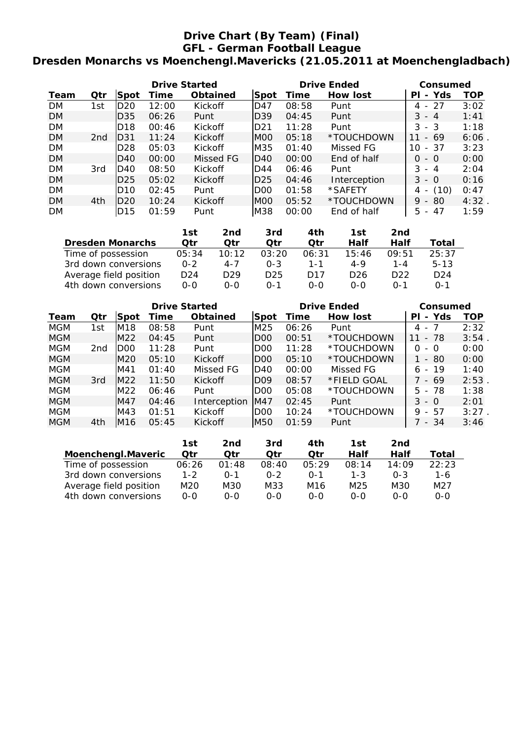# **Drive Chart (By Team) (Final) GFL - German Football League Dresden Monarchs vs Moenchengl.Mavericks (21.05.2011 at Moenchengladbach)**

|           |                 |                 | <b>Drive Started</b> |                |       |       | <b>Drive Ended</b> | Consumed                             |      |  |
|-----------|-----------------|-----------------|----------------------|----------------|-------|-------|--------------------|--------------------------------------|------|--|
| Team      | Qtr             | Spot            | Time                 | Obtained       | ∣Spot | Time  | <b>How lost</b>    | Yds<br>ΡI<br>$\sim$                  | TOP  |  |
| <b>DM</b> | 1st             | D20             | 12:00                | <b>Kickoff</b> | ID47  | 08:58 | Punt               | -27<br>4 -                           | 3:02 |  |
| <b>DM</b> |                 | D35             | 06:26                | Punt           | ID39  | 04:45 | Punt               | $3 - 4$                              | 1:41 |  |
| <b>DM</b> |                 | D <sub>18</sub> | 00:46                | Kickoff        | ID21  | 11:28 | Punt               | $3 - 3$                              | 1:18 |  |
| <b>DM</b> | 2 <sub>nd</sub> | ID31            | 11:24                | Kickoff        | IMOO  | 05:18 | *TOUCHDOWN         | - 69<br>11                           | 6:06 |  |
| <b>DM</b> |                 | D <sub>28</sub> | 05:03                | Kickoff        | lM35  | 01:40 | Missed FG          | - 37<br>10                           | 3:23 |  |
| <b>DM</b> |                 | ID40            | 00:00                | Missed FG      | ID40  | 00:00 | End of half        | $0 - 0$                              | 0:00 |  |
| <b>DM</b> | 3rd             | D40             | 08:50                | <b>Kickoff</b> | ID44  | 06:46 | Punt               | $3 - 4$                              | 2:04 |  |
| <b>DM</b> |                 | ID25            | 05:02                | Kickoff        | ID25  | 04:46 | Interception       | $3 - 0$                              | 0:16 |  |
| <b>DM</b> |                 | D10             | 02:45                | Punt           | IDOO  | 01:58 | *SAFETY            | (10)<br>4                            | 0:47 |  |
| <b>DM</b> | 4th             | ID20            | 10:24                | Kickoff        | IMOO  | 05:52 | *TOUCHDOWN         | $9 - 80$                             | 4:32 |  |
| <b>DM</b> |                 | D <sub>15</sub> | 01:59                | Punt           | M38   | 00:00 | End of half        | 5.<br>47<br>$\overline{\phantom{a}}$ | 1:59 |  |

|                         | 1st             | 2nd             | 3rd             | 4th             | 1st             | 2nd             |                 |
|-------------------------|-----------------|-----------------|-----------------|-----------------|-----------------|-----------------|-----------------|
| <b>Dresden Monarchs</b> | Otr             | Otr             | Otr             | Otr             | Half            | Half            | Total           |
| Time of possession      | 05:34           | 10:12           | 03:20           | 06:31           | 15:46           | 09:51           | 25:37           |
| 3rd down conversions    | $0 - 2$         | $4 - 7$         | $0 - 3$         | $1 - 1$         | 4-9             | 1-4             | $5 - 13$        |
| Average field position  | D <sub>24</sub> | D <sub>29</sub> | D <sub>25</sub> | D <sub>17</sub> | D <sub>26</sub> | D <sub>22</sub> | D <sub>24</sub> |
| 4th down conversions    | 0-0             | ი-ი             | $0 - 1$         | $0 - 0$         | $0 - 0$         | $0 - 1$         | $0 - 1$         |

|            |     |      | <b>Drive Started</b> |                |                 | <b>Drive Ended</b> | Consumed    |                           |       |
|------------|-----|------|----------------------|----------------|-----------------|--------------------|-------------|---------------------------|-------|
| Team       | Qtr | Spot | Time                 | Obtained       | Spot            | Time               | How lost    | - Yds<br>ΡI               | TOP   |
| <b>MGM</b> | 1st | IM18 | 08:58                | Punt           | lM25            | 06:26              | Punt        | - 7<br>4                  | 2:32  |
| <b>MGM</b> |     | M22  | 04:45                | Punt           | DOO             | 00:51              | *TOUCHDOWN  | - 78<br>11                | 3:54. |
| <b>MGM</b> | 2nd | DOO  | 11:28                | Punt           | D <sub>00</sub> | 11:28              | *TOUCHDOWN  | 0<br>- 0                  | 0:00  |
| MGM        |     | IM20 | 05:10                | <b>Kickoff</b> | IDOO            | 05:10              | *TOUCHDOWN  | -80<br>1 -                | 0:00  |
| <b>MGM</b> |     | IM41 | 01:40                | Missed FG      | ID40            | 00:00              | Missed FG   | $-19$<br>6                | 1:40  |
| <b>MGM</b> | 3rd | IM22 | 11:50                | <b>Kickoff</b> | IDO9            | 08:57              | *FIELD GOAL | - 69                      | 2:53  |
| MGM        |     | M22  | 06:46                | Punt           | D <sub>00</sub> | 05:08              | *TOUCHDOWN  | $-78$<br>5.               | 1:38  |
| <b>MGM</b> |     | IM47 | 04:46                | Interception   | lM47            | 02:45              | Punt        | 3<br>- 0                  | 2:01  |
| <b>MGM</b> |     | IM43 | 01:51                | Kickoff        | D <sub>00</sub> | 10:24              | *TOUCHDOWN  | 9<br>57<br>$\overline{a}$ | 3:27  |
| <b>MGM</b> | 4th | IM16 | 05:45                | <b>Kickoff</b> | M50             | 01:59              | Punt        | 7 - 34                    | 3:46  |

|                        | 1st     | 2nd     | 3rd     | 4th     | 1st     | 2nd     |       |
|------------------------|---------|---------|---------|---------|---------|---------|-------|
| Moenchengl.Maveric     | Qtr     | Qtr     | Otr     | Otr     | Half    | Half    | Total |
| Time of possession     | 06:26   | 01:48   | 08:40   | 05.29   | 08:14   | 14:09   | 22:23 |
| 3rd down conversions   | $1 - 2$ | $0 - 1$ | $0 - 2$ | $0 - 1$ | $1 - 3$ | $0 - 3$ | 1-6   |
| Average field position | M20     | M30     | M33     | M16     | M25     | M30     | M27   |
| 4th down conversions   | ი-ი     | ი-ი     | ი-ი     | 0-0     | 0-0     | $0 - 0$ | ი-ი   |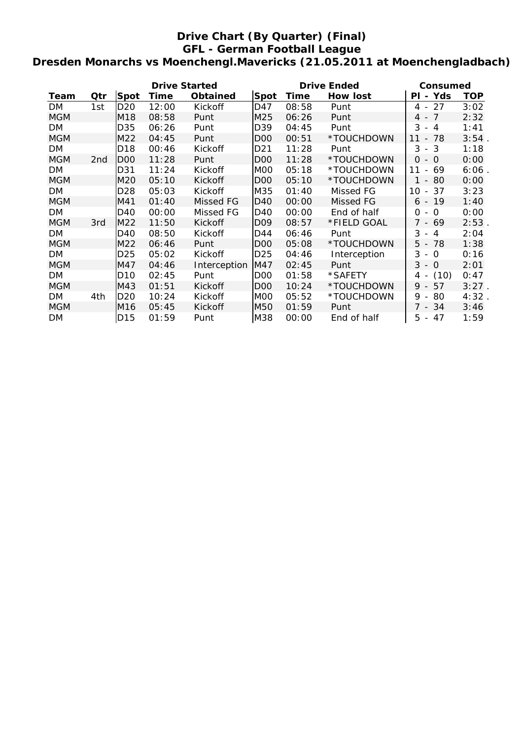# **Drive Chart (By Quarter) (Final) GFL - German Football League Dresden Monarchs vs Moenchengl.Mavericks (21.05.2011 at Moenchengladbach)**

|            |     |                 | <b>Drive Started</b> |              |                 | <b>Drive Ended</b> | Consumed     |                                                  |            |
|------------|-----|-----------------|----------------------|--------------|-----------------|--------------------|--------------|--------------------------------------------------|------------|
| Team       | Qtr | Spot            | <b>Time</b>          | Obtained     | <b>Spot</b>     | Time               | How lost     | PI - Yds                                         | <b>TOP</b> |
| DM         | 1st | D <sub>20</sub> | 12:00                | Kickoff      | D47             | 08:58              | Punt         | 27<br>4<br>$\overline{\phantom{a}}$              | 3:02       |
| <b>MGM</b> |     | M18             | 08:58                | Punt         | M25             | 06:26              | Punt         | $\overline{7}$<br>4 -                            | 2:32       |
| DM         |     | D35             | 06:26                | Punt         | D39             | 04:45              | Punt         | 3<br>$-4$                                        | 1:41       |
| <b>MGM</b> |     | M22             | 04:45                | Punt         | D <sub>0</sub>  | 00:51              | *TOUCHDOWN   | 78<br>11<br>$\overline{\phantom{a}}$             | 3:54.      |
| <b>DM</b>  |     | D <sub>18</sub> | 00:46                | Kickoff      | D21             | 11:28              | Punt         | 3<br>$-3$                                        | 1:18       |
| <b>MGM</b> | 2nd | D <sub>00</sub> | 11:28                | Punt         | D <sub>0</sub>  | 11:28              | *TOUCHDOWN   | $\Omega$<br>- 0                                  | 0:00       |
| DM         |     | D31             | 11:24                | Kickoff      | MOO             | 05:18              | *TOUCHDOWN   | 11<br>69<br>$\overline{\phantom{a}}$             | 6:06       |
| <b>MGM</b> |     | M20             | 05:10                | Kickoff      | D <sub>00</sub> | 05:10              | *TOUCHDOWN   | - 80<br>1                                        | 0:00       |
| DM         |     | D <sub>28</sub> | 05:03                | Kickoff      | M35             | 01:40              | Missed FG    | 37<br>10<br>$\sim$                               | 3:23       |
| <b>MGM</b> |     | M41             | 01:40                | Missed FG    | D40             | 00:00              | Missed FG    | $6 - 19$                                         | 1:40       |
| DM         |     | D40             | 00:00                | Missed FG    | D40             | 00:00              | End of half  | $\Omega$<br>$\Omega$<br>$\overline{\phantom{a}}$ | 0:00       |
| <b>MGM</b> | 3rd | M22             | 11:50                | Kickoff      | D <sub>09</sub> | 08:57              | *FIELD GOAL  | 7<br>- 69                                        | 2:53       |
| DM         |     | D40             | 08:50                | Kickoff      | D44             | 06:46              | Punt         | 3<br>4<br>$\overline{\phantom{a}}$               | 2:04       |
| <b>MGM</b> |     | M22             | 06:46                | Punt         | D <sub>0</sub>  | 05:08              | *TOUCHDOWN   | 5<br>78<br>$\overline{\phantom{a}}$              | 1:38       |
| <b>DM</b>  |     | D <sub>25</sub> | 05:02                | Kickoff      | D <sub>25</sub> | 04:46              | Interception | 3<br>$-0$                                        | 0:16       |
| <b>MGM</b> |     | M47             | 04:46                | Interception | M47             | 02:45              | Punt         | 3<br>$-$ 0                                       | 2:01       |
| DM         |     | D <sub>10</sub> | 02:45                | Punt         | D <sub>0</sub>  | 01:58              | *SAFETY      | (10)<br>4 -                                      | 0:47       |
| <b>MGM</b> |     | M43             | 01:51                | Kickoff      | D <sub>0</sub>  | 10:24              | *TOUCHDOWN   | $9 - 57$                                         | $3:27$ .   |
| <b>DM</b>  | 4th | D <sub>20</sub> | 10:24                | Kickoff      | MOO             | 05:52              | *TOUCHDOWN   | 9<br>80<br>$\blacksquare$                        | 4:32       |
| <b>MGM</b> |     | M16             | 05:45                | Kickoff      | M50             | 01:59              | Punt         | 7 - 34                                           | 3:46       |
| DM         |     | D <sub>15</sub> | 01:59                | Punt         | M38             | 00:00              | End of half  | 5<br>$-47$                                       | 1:59       |